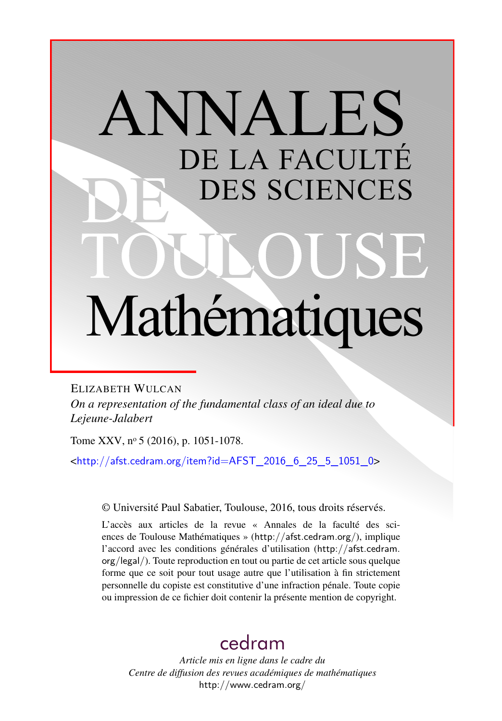# ANNALES DE LA FACULTÉ DES SCIENCES Mathématiques

ELIZABETH WULCAN *On a representation of the fundamental class of an ideal due to Lejeune-Jalabert*

Tome XXV, nº 5 (2016), p. 1051-1078.

 $\frac{\text{th}}{\text{t}}/$ /afst.cedram.org/item?id=AFST\_2016\_6\_25\_5\_1051\_0>

© Université Paul Sabatier, Toulouse, 2016, tous droits réservés.

L'accès aux articles de la revue « Annales de la faculté des sciences de Toulouse Mathématiques » (<http://afst.cedram.org/>), implique l'accord avec les conditions générales d'utilisation ([http://afst.cedram.](http://afst.cedram.org/legal/) [org/legal/](http://afst.cedram.org/legal/)). Toute reproduction en tout ou partie de cet article sous quelque forme que ce soit pour tout usage autre que l'utilisation à fin strictement personnelle du copiste est constitutive d'une infraction pénale. Toute copie ou impression de ce fichier doit contenir la présente mention de copyright.

# [cedram](http://www.cedram.org/)

*Article mis en ligne dans le cadre du Centre de diffusion des revues académiques de mathématiques* <http://www.cedram.org/>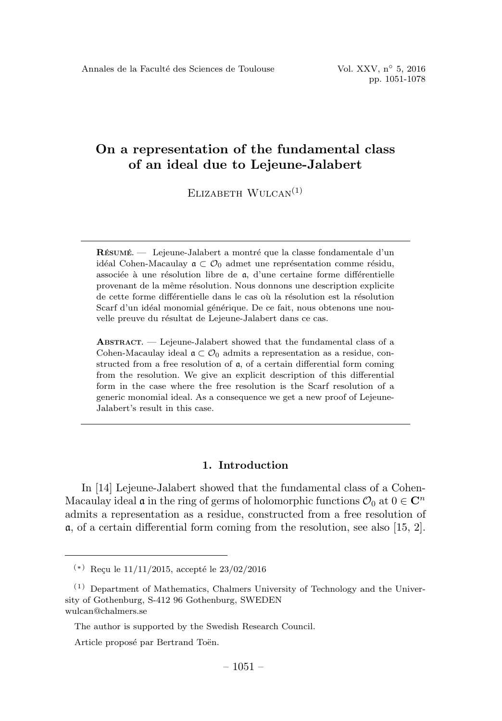ELIZABETH  $WULCAN<sup>(1)</sup>$ 

RÉSUMÉ. — Lejeune-Jalabert a montré que la classe fondamentale d'un idéal Cohen-Macaulay  $\mathfrak{a} \subset \mathcal{O}_0$  admet une représentation comme résidu, associée à une résolution libre de a, d'une certaine forme différentielle provenant de la même résolution. Nous donnons une description explicite de cette forme différentielle dans le cas où la résolution est la résolution Scarf d'un idéal monomial générique. De ce fait, nous obtenons une nouvelle preuve du résultat de Lejeune-Jalabert dans ce cas.

ABSTRACT. — Lejeune-Jalabert showed that the fundamental class of a Cohen-Macaulay ideal  $\mathfrak{a} \subset \mathcal{O}_0$  admits a representation as a residue, constructed from a free resolution of  $a$ , of a certain differential form coming from the resolution. We give an explicit description of this differential form in the case where the free resolution is the Scarf resolution of a generic monomial ideal. As a consequence we get a new proof of Lejeune-Jalabert's result in this case.

# 1. Introduction

In [14] Lejeune-Jalabert showed that the fundamental class of a Cohen-Macaulay ideal  $\mathfrak a$  in the ring of germs of holomorphic functions  $\mathcal O_0$  at  $0 \in \mathbb C^n$ admits a representation as a residue, constructed from a free resolution of  $\alpha$ , of a certain differential form coming from the resolution, see also [15, 2].

 $(*)$  Reçu le 11/11/2015, accepté le 23/02/2016

 $(1)$  Department of Mathematics, Chalmers University of Technology and the University of Gothenburg, S-412 96 Gothenburg, SWEDEN wulcan@chalmers.se

The author is supported by the Swedish Research Council.

Article proposé par Bertrand Toën.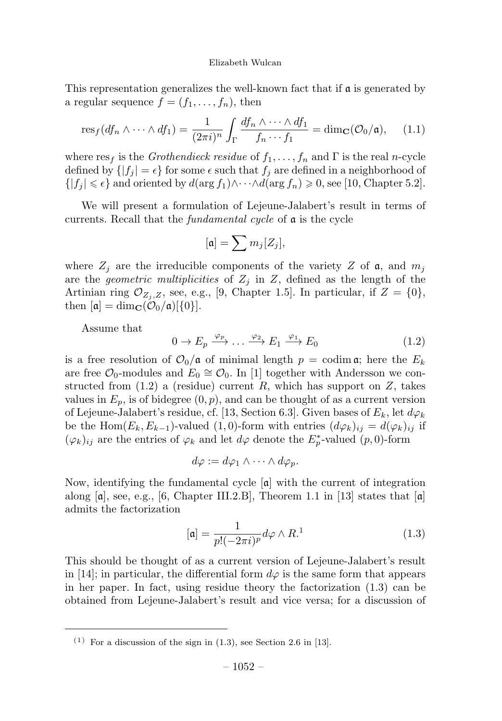This representation generalizes the well-known fact that if  $\mathfrak a$  is generated by a regular sequence  $f = (f_1, \ldots, f_n)$ , then

$$
\operatorname{res}_f(df_n \wedge \cdots \wedge df_1) = \frac{1}{(2\pi i)^n} \int_{\Gamma} \frac{df_n \wedge \cdots \wedge df_1}{f_n \cdots f_1} = \dim_{\mathbf{C}}(\mathcal{O}_0/\mathfrak{a}), \quad (1.1)
$$

where  $res_f$  is the *Grothendieck residue* of  $f_1, \ldots, f_n$  and  $\Gamma$  is the real *n*-cycle defined by  $\{|f_j| = \epsilon\}$  for some  $\epsilon$  such that  $f_j$  are defined in a neighborhood of  $\{|f_j| \leq \epsilon\}$  and oriented by  $d(\arg f_1) \wedge \cdots \wedge d(\arg f_n) \geq 0$ , see [10, Chapter 5.2].

We will present a formulation of Lejeune-Jalabert's result in terms of currents. Recall that the fundamental cycle of a is the cycle

$$
[\mathfrak{a}]=\sum m_j[Z_j],
$$

where  $Z_i$  are the irreducible components of the variety Z of a, and  $m_i$ are the *geometric multiplicities* of  $Z_i$  in  $Z$ , defined as the length of the Artinian ring  $\mathcal{O}_{Z_i,Z}$ , see, e.g., [9, Chapter 1.5]. In particular, if  $Z = \{0\},$ then  $[\mathfrak{a}] = \dim_{\mathbf{C}}(\mathcal{O}_0/\mathfrak{a})[\{0\}].$ 

Assume that

$$
0 \to E_p \xrightarrow{\varphi_p} \dots \xrightarrow{\varphi_2} E_1 \xrightarrow{\varphi_1} E_0 \tag{1.2}
$$

is a free resolution of  $\mathcal{O}_0/\mathfrak{a}$  of minimal length  $p = \text{codim } \mathfrak{a}$ ; here the  $E_k$ are free  $\mathcal{O}_0$ -modules and  $E_0 \cong \mathcal{O}_0$ . In [1] together with Andersson we constructed from  $(1.2)$  a (residue) current R, which has support on Z, takes values in  $E_p$ , is of bidegree  $(0, p)$ , and can be thought of as a current version of Lejeune-Jalabert's residue, cf. [13, Section 6.3]. Given bases of  $E_k$ , let  $d\varphi_k$ be the Hom( $E_k, E_{k-1}$ )-valued (1,0)-form with entries  $(d\varphi_k)_{ij} = d(\varphi_k)_{ij}$  if  $(\varphi_k)_{ij}$  are the entries of  $\varphi_k$  and let  $d\varphi$  denote the  $E^*_p$ -valued  $(p, 0)$ -form

$$
d\varphi := d\varphi_1 \wedge \cdots \wedge d\varphi_p.
$$

Now, identifying the fundamental cycle  $\lceil \mathfrak{a} \rceil$  with the current of integration along  $[a]$ , see, e.g., [6, Chapter III.2.B], Theorem 1.1 in [13] states that  $[a]$ admits the factorization

$$
[\mathfrak{a}] = \frac{1}{p!(-2\pi i)^p} d\varphi \wedge R^1 \tag{1.3}
$$

This should be thought of as a current version of Lejeune-Jalabert's result in [14]; in particular, the differential form  $d\varphi$  is the same form that appears in her paper. In fact, using residue theory the factorization (1.3) can be obtained from Lejeune-Jalabert's result and vice versa; for a discussion of

 $(1)$  For a discussion of the sign in  $(1.3)$ , see Section 2.6 in [13].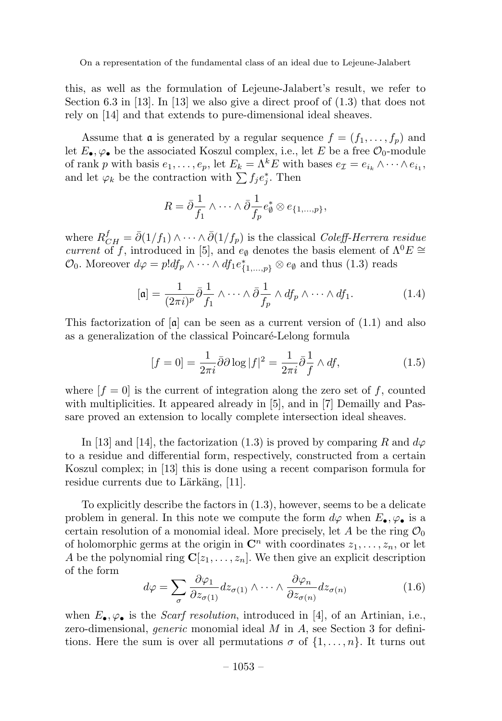this, as well as the formulation of Lejeune-Jalabert's result, we refer to Section 6.3 in [13]. In [13] we also give a direct proof of (1.3) that does not rely on [14] and that extends to pure-dimensional ideal sheaves.

Assume that  $\mathfrak a$  is generated by a regular sequence  $f = (f_1, \ldots, f_n)$  and let  $E_{\bullet}, \varphi_{\bullet}$  be the associated Koszul complex, i.e., let E be a free  $\mathcal{O}_0$ -module of rank p with basis  $e_1, \ldots, e_p$ , let  $E_k = \Lambda^k E$  with bases  $e_{\mathcal{I}} = e_{i_k} \wedge \cdots \wedge e_{i_1}$ , and let  $\varphi_k$  be the contraction with  $\sum f_j e_j^*$ . Then

$$
R = \bar{\partial} \frac{1}{f_1} \wedge \cdots \wedge \bar{\partial} \frac{1}{f_p} e_{\emptyset}^* \otimes e_{\{1,\dots,p\}},
$$

where  $R_{CH}^f = \bar{\partial}(1/f_1) \wedge \cdots \wedge \bar{\partial}(1/f_p)$  is the classical Coleff-Herrera residue current of f, introduced in [5], and  $e_{\emptyset}$  denotes the basis element of  $\Lambda^{0}E \cong$  $\mathcal{O}_0$ . Moreover  $d\varphi = p! df_p \wedge \cdots \wedge df_1 e_{\{1,\ldots,p\}}^* \otimes e_\emptyset$  and thus  $(1.3)$  reads

$$
[\mathfrak{a}] = \frac{1}{(2\pi i)^p} \bar{\partial} \frac{1}{f_1} \wedge \cdots \wedge \bar{\partial} \frac{1}{f_p} \wedge df_p \wedge \cdots \wedge df_1.
$$
 (1.4)

This factorization of  $[\alpha]$  can be seen as a current version of  $(1.1)$  and also as a generalization of the classical Poincaré-Lelong formula

$$
[f=0] = \frac{1}{2\pi i} \bar{\partial}\partial \log |f|^2 = \frac{1}{2\pi i} \bar{\partial} \frac{1}{f} \wedge df,\tag{1.5}
$$

where  $[f = 0]$  is the current of integration along the zero set of f, counted with multiplicities. It appeared already in [5], and in [7] Demailly and Passare proved an extension to locally complete intersection ideal sheaves.

In [13] and [14], the factorization (1.3) is proved by comparing R and  $d\varphi$ to a residue and differential form, respectively, constructed from a certain Koszul complex; in [13] this is done using a recent comparison formula for residue currents due to Lärkäng, [11].

To explicitly describe the factors in (1.3), however, seems to be a delicate problem in general. In this note we compute the form  $d\varphi$  when  $E_{\bullet}, \varphi_{\bullet}$  is a certain resolution of a monomial ideal. More precisely, let  $A$  be the ring  $\mathcal{O}_0$ of holomorphic germs at the origin in  $\mathbb{C}^n$  with coordinates  $z_1, \ldots, z_n$ , or let A be the polynomial ring  $\mathbf{C}[z_1,\ldots,z_n]$ . We then give an explicit description of the form

$$
d\varphi = \sum_{\sigma} \frac{\partial \varphi_1}{\partial z_{\sigma(1)}} dz_{\sigma(1)} \wedge \dots \wedge \frac{\partial \varphi_n}{\partial z_{\sigma(n)}} dz_{\sigma(n)} \tag{1.6}
$$

when  $E_{\bullet}$ ,  $\varphi_{\bullet}$  is the *Scarf resolution*, introduced in [4], of an Artinian, i.e., zero-dimensional, *generic* monomial ideal  $M$  in  $A$ , see Section 3 for definitions. Here the sum is over all permutations  $\sigma$  of  $\{1,\ldots,n\}$ . It turns out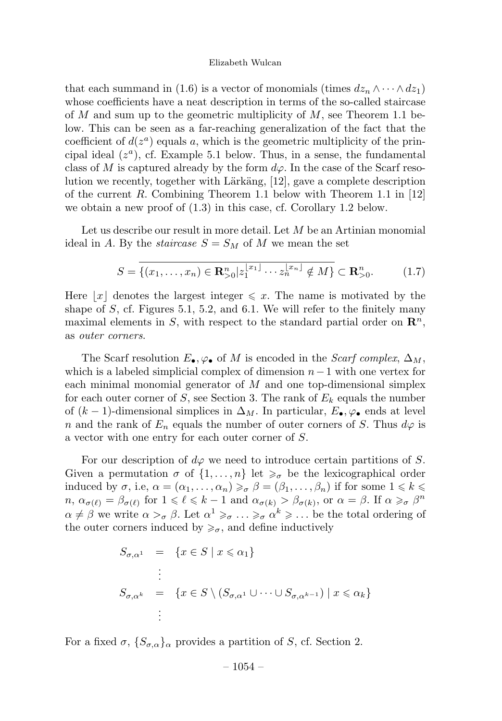that each summand in (1.6) is a vector of monomials (times  $dz_n \wedge \cdots \wedge dz_1$ ) whose coefficients have a neat description in terms of the so-called staircase of M and sum up to the geometric multiplicity of  $M$ , see Theorem 1.1 below. This can be seen as a far-reaching generalization of the fact that the coefficient of  $d(z^a)$  equals a, which is the geometric multiplicity of the principal ideal  $(z^a)$ , cf. Example 5.1 below. Thus, in a sense, the fundamental class of M is captured already by the form  $d\varphi$ . In the case of the Scarf resolution we recently, together with Lärkäng,  $[12]$ , gave a complete description of the current R. Combining Theorem 1.1 below with Theorem 1.1 in  $[12]$ we obtain a new proof of (1.3) in this case, cf. Corollary 1.2 below.

Let us describe our result in more detail. Let M be an Artinian monomial ideal in A. By the *staircase*  $S = S_M$  of M we mean the set

$$
S = \overline{\{(x_1, \dots, x_n) \in \mathbf{R}_{>0}^n | z_1^{x_1} \cdots z_n^{x_n} | \notin M\}} \subset \mathbf{R}_{>0}^n.
$$
 (1.7)

Here  $|x|$  denotes the largest integer  $\leq x$ . The name is motivated by the shape of  $S$ , cf. Figures 5.1, 5.2, and 6.1. We will refer to the finitely many maximal elements in S, with respect to the standard partial order on  $\mathbb{R}^n$ , as outer corners.

The Scarf resolution  $E_{\bullet}$ ,  $\varphi_{\bullet}$  of M is encoded in the Scarf complex,  $\Delta_M$ , which is a labeled simplicial complex of dimension  $n-1$  with one vertex for each minimal monomial generator of  $M$  and one top-dimensional simplex for each outer corner of S, see Section 3. The rank of  $E_k$  equals the number of  $(k-1)$ -dimensional simplices in  $\Delta_M$ . In particular,  $E_{\bullet}$ ,  $\varphi_{\bullet}$  ends at level n and the rank of  $E_n$  equals the number of outer corners of S. Thus  $d\varphi$  is a vector with one entry for each outer corner of S.

For our description of  $d\varphi$  we need to introduce certain partitions of S. Given a permutation  $\sigma$  of  $\{1, \ldots, n\}$  let  $\geq_{\sigma}$  be the lexicographical order induced by  $\sigma$ , i.e,  $\alpha = (\alpha_1, \ldots, \alpha_n) \geq \sigma \beta = (\beta_1, \ldots, \beta_n)$  if for some  $1 \leq k \leq$  $n, \alpha_{\sigma(\ell)} = \beta_{\sigma(\ell)}$  for  $1 \leq \ell \leq k-1$  and  $\alpha_{\sigma(k)} > \beta_{\sigma(k)},$  or  $\alpha = \beta$ . If  $\alpha \geq \sigma \beta^{n}$  $\alpha \neq \beta$  we write  $\alpha >_{\sigma} \beta$ . Let  $\alpha^1 \geq_{\sigma} \ldots \geq_{\sigma} \alpha^k \geq \ldots$  be the total ordering of the outer corners induced by  $\geqslant_{\sigma}$ , and define inductively

$$
S_{\sigma,\alpha^1} = \{x \in S \mid x \leq \alpha_1\}
$$
  
\n
$$
\vdots
$$
  
\n
$$
S_{\sigma,\alpha^k} = \{x \in S \setminus (S_{\sigma,\alpha^1} \cup \dots \cup S_{\sigma,\alpha^{k-1}}) \mid x \leq \alpha_k\}
$$
  
\n
$$
\vdots
$$

For a fixed  $\sigma$ ,  $\{S_{\sigma,\alpha}\}_\alpha$  provides a partition of S, cf. Section 2.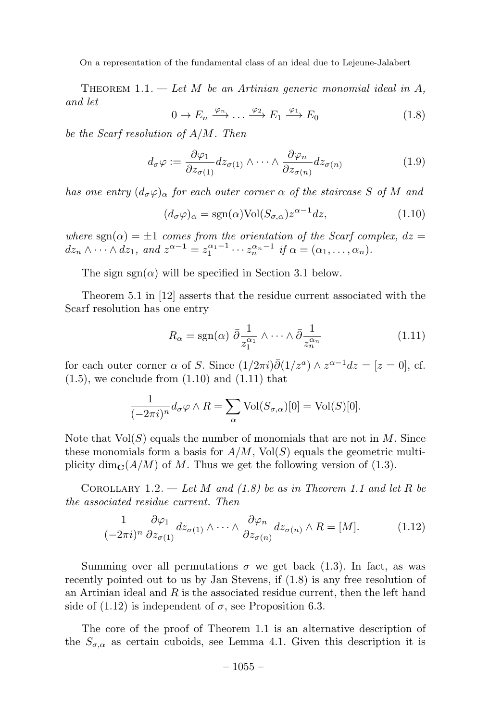THEOREM 1.1.  $-$  Let M be an Artinian generic monomial ideal in A, and let

$$
0 \to E_n \xrightarrow{\varphi_n} \dots \xrightarrow{\varphi_2} E_1 \xrightarrow{\varphi_1} E_0 \tag{1.8}
$$

be the Scarf resolution of A/M. Then

$$
d_{\sigma}\varphi := \frac{\partial \varphi_1}{\partial z_{\sigma(1)}} dz_{\sigma(1)} \wedge \cdots \wedge \frac{\partial \varphi_n}{\partial z_{\sigma(n)}} dz_{\sigma(n)} \tag{1.9}
$$

has one entry  $(d_{\sigma}\varphi)_{\alpha}$  for each outer corner  $\alpha$  of the staircase S of M and

$$
(d_{\sigma}\varphi)_{\alpha} = \text{sgn}(\alpha)\text{Vol}(S_{\sigma,\alpha})z^{\alpha-1}dz,
$$
\n(1.10)

where sgn( $\alpha$ ) =  $\pm 1$  comes from the orientation of the Scarf complex,  $dz =$  $dz_n \wedge \cdots \wedge dz_1$ , and  $z^{\alpha-1} = z_1^{\alpha_1-1} \cdots z_n^{\alpha_n-1}$  if  $\alpha = (\alpha_1, \ldots, \alpha_n)$ .

The sign  $sgn(\alpha)$  will be specified in Section 3.1 below.

Theorem 5.1 in [12] asserts that the residue current associated with the Scarf resolution has one entry

$$
R_{\alpha} = \text{sgn}(\alpha) \ \bar{\partial} \frac{1}{z_1^{\alpha_1}} \wedge \dots \wedge \bar{\partial} \frac{1}{z_n^{\alpha_n}} \tag{1.11}
$$

for each outer corner  $\alpha$  of S. Since  $(1/2\pi i)\overline{\partial}(1/z^a)\wedge z^{\alpha-1}dz=[z=0],$  cf.  $(1.5)$ , we conclude from  $(1.10)$  and  $(1.11)$  that

$$
\frac{1}{(-2\pi i)^n} d_{\sigma} \varphi \wedge R = \sum_{\alpha} \text{Vol}(S_{\sigma,\alpha})[0] = \text{Vol}(S)[0].
$$

Note that  $Vol(S)$  equals the number of monomials that are not in M. Since these monomials form a basis for  $A/M$ , Vol $(S)$  equals the geometric multiplicity dim $\mathbf{C}(A/M)$  of M. Thus we get the following version of (1.3).

COROLLARY 1.2. — Let M and  $(1.8)$  be as in Theorem 1.1 and let R be the associated residue current. Then

$$
\frac{1}{(-2\pi i)^n} \frac{\partial \varphi_1}{\partial z_{\sigma(1)}} dz_{\sigma(1)} \wedge \cdots \wedge \frac{\partial \varphi_n}{\partial z_{\sigma(n)}} dz_{\sigma(n)} \wedge R = [M]. \tag{1.12}
$$

Summing over all permutations  $\sigma$  we get back (1.3). In fact, as was recently pointed out to us by Jan Stevens, if (1.8) is any free resolution of an Artinian ideal and  $R$  is the associated residue current, then the left hand side of  $(1.12)$  is independent of  $\sigma$ , see Proposition 6.3.

The core of the proof of Theorem 1.1 is an alternative description of the  $S_{\sigma,\alpha}$  as certain cuboids, see Lemma 4.1. Given this description it is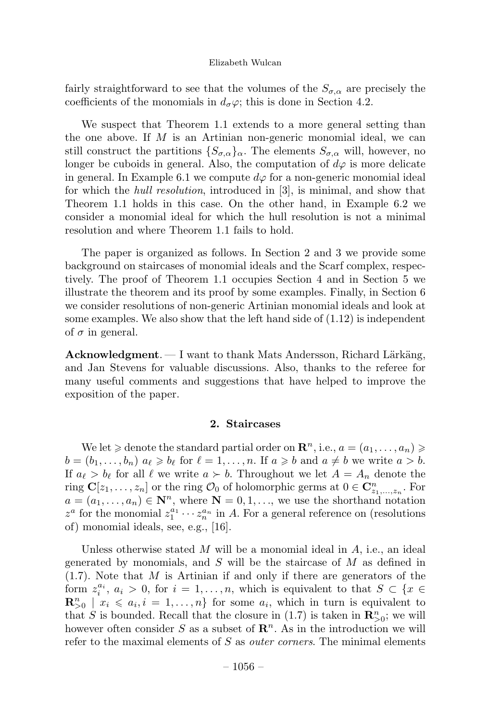fairly straightforward to see that the volumes of the  $S_{\sigma,\alpha}$  are precisely the coefficients of the monomials in  $d_{\sigma}\varphi$ ; this is done in Section 4.2.

We suspect that Theorem 1.1 extends to a more general setting than the one above. If  $M$  is an Artinian non-generic monomial ideal, we can still construct the partitions  $\{S_{\sigma,\alpha}\}_\alpha$ . The elements  $S_{\sigma,\alpha}$  will, however, no longer be cuboids in general. Also, the computation of  $d\varphi$  is more delicate in general. In Example 6.1 we compute  $d\varphi$  for a non-generic monomial ideal for which the hull resolution, introduced in [3], is minimal, and show that Theorem 1.1 holds in this case. On the other hand, in Example 6.2 we consider a monomial ideal for which the hull resolution is not a minimal resolution and where Theorem 1.1 fails to hold.

The paper is organized as follows. In Section 2 and 3 we provide some background on staircases of monomial ideals and the Scarf complex, respectively. The proof of Theorem 1.1 occupies Section 4 and in Section 5 we illustrate the theorem and its proof by some examples. Finally, in Section 6 we consider resolutions of non-generic Artinian monomial ideals and look at some examples. We also show that the left hand side of  $(1.12)$  is independent of  $\sigma$  in general.

Acknowledgment. — I want to thank Mats Andersson, Richard Lärkäng, and Jan Stevens for valuable discussions. Also, thanks to the referee for many useful comments and suggestions that have helped to improve the exposition of the paper.

# 2. Staircases

We let  $\geq$  denote the standard partial order on  $\mathbb{R}^n$ , i.e.,  $a = (a_1, \ldots, a_n) \geq$  $b = (b_1, \ldots, b_n)$   $a_{\ell} \geqslant b_{\ell}$  for  $\ell = 1, \ldots, n$ . If  $a \geqslant b$  and  $a \neq b$  we write  $a > b$ . If  $a_{\ell} > b_{\ell}$  for all  $\ell$  we write  $a \succ b$ . Throughout we let  $A = A_n$  denote the ring  $\mathbf{C}[z_1,\ldots,z_n]$  or the ring  $\mathcal{O}_0$  of holomorphic germs at  $0 \in \mathbf{C}_{z_1,\ldots,z_n}^n$ . For  $a = (a_1, \ldots, a_n) \in \mathbb{N}^n$ , where  $\mathbb{N} = 0, 1, \ldots$ , we use the shorthand notation  $z^a$  for the monomial  $z_1^{a_1} \cdots z_n^{a_n}$  in A. For a general reference on (resolutions of) monomial ideals, see, e.g., [16].

Unless otherwise stated  $M$  will be a monomial ideal in  $A$ , i.e., an ideal generated by monomials, and S will be the staircase of  $M$  as defined in  $(1.7)$ . Note that M is Artinian if and only if there are generators of the form  $z_i^{a_i}$ ,  $a_i > 0$ , for  $i = 1, ..., n$ , which is equivalent to that  $S \subset \{x \in$  $\mathbf{R}_{>0}^n \mid x_i \leqslant a_i, i = 1, \ldots, n$  for some  $a_i$ , which in turn is equivalent to that S is bounded. Recall that the closure in  $(1.7)$  is taken in  $\mathbb{R}_{>0}^n$ ; we will however often consider S as a subset of  $\mathbb{R}^n$ . As in the introduction we will refer to the maximal elements of S as *outer corners*. The minimal elements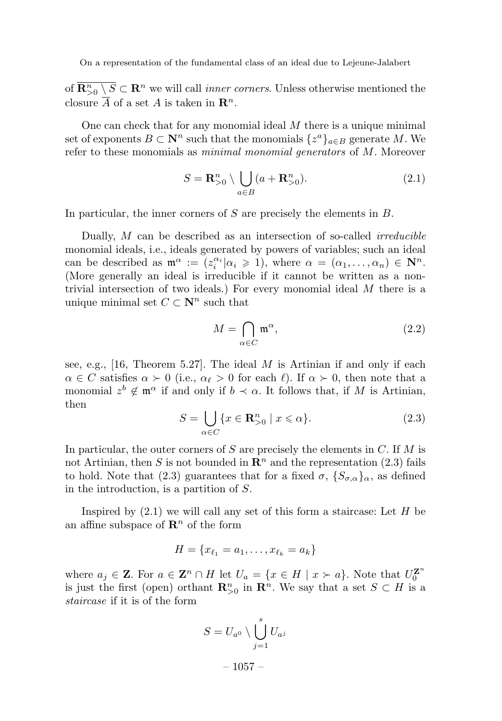of  $\overline{\mathbf{R}^n_{>0} \setminus S} \subset \mathbf{R}^n$  we will call *inner corners*. Unless otherwise mentioned the closure  $\overline{A}$  of a set A is taken in  $\mathbb{R}^n$ .

One can check that for any monomial ideal  $M$  there is a unique minimal set of exponents  $B \subset \mathbb{N}^n$  such that the monomials  $\{z^a\}_{a \in B}$  generate M. We refer to these monomials as minimal monomial generators of M. Moreover

$$
S = \mathbf{R}_{>0}^n \setminus \bigcup_{a \in B} (a + \mathbf{R}_{>0}^n). \tag{2.1}
$$

In particular, the inner corners of  $S$  are precisely the elements in  $B$ .

Dually, M can be described as an intersection of so-called *irreducible* monomial ideals, i.e., ideals generated by powers of variables; such an ideal can be described as  $\mathfrak{m}^{\alpha} := (z_i^{\alpha_i} | \alpha_i \geq 1)$ , where  $\alpha = (\alpha_1, \dots, \alpha_n) \in \mathbb{N}^n$ . (More generally an ideal is irreducible if it cannot be written as a nontrivial intersection of two ideals.) For every monomial ideal M there is a unique minimal set  $C \subset \mathbb{N}^n$  such that

$$
M = \bigcap_{\alpha \in C} \mathfrak{m}^{\alpha},\tag{2.2}
$$

see, e.g., [16, Theorem 5.27]. The ideal  $M$  is Artinian if and only if each  $\alpha \in C$  satisfies  $\alpha \succ 0$  (i.e.,  $\alpha_{\ell} > 0$  for each  $\ell$ ). If  $\alpha \succ 0$ , then note that a monomial  $z^b \notin \mathfrak{m}^\alpha$  if and only if  $b \prec \alpha$ . It follows that, if M is Artinian, then

$$
S = \bigcup_{\alpha \in C} \{ x \in \mathbf{R}_{>0}^n \mid x \leq \alpha \}. \tag{2.3}
$$

In particular, the outer corners of  $S$  are precisely the elements in  $C$ . If  $M$  is not Artinian, then S is not bounded in  $\mathbb{R}^n$  and the representation (2.3) fails to hold. Note that (2.3) guarantees that for a fixed  $\sigma$ ,  $\{S_{\sigma,\alpha}\}_\alpha$ , as defined in the introduction, is a partition of S.

Inspired by  $(2.1)$  we will call any set of this form a staircase: Let H be an affine subspace of  $\mathbb{R}^n$  of the form

$$
H = \{x_{\ell_1} = a_1, \ldots, x_{\ell_k} = a_k\}
$$

where  $a_j \in \mathbf{Z}$ . For  $a \in \mathbf{Z}^n \cap H$  let  $U_a = \{x \in H \mid x \succ a\}$ . Note that  $U_0^{\mathbf{Z}^n}$ is just the first (open) orthant  $\mathbb{R}_{>0}^n$  in  $\mathbb{R}^n$ . We say that a set  $S \subset H$  is a staircase if it is of the form

$$
S = U_{a^0} \setminus \bigcup_{j=1}^s U_{a^j}
$$

– 1057 –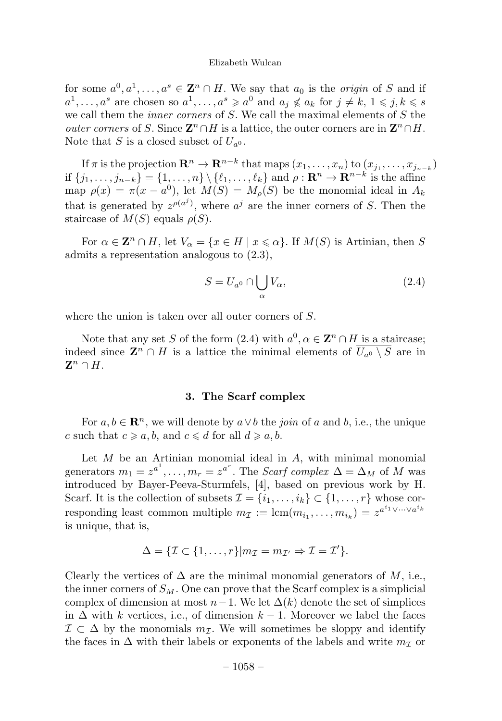for some  $a^0, a^1, \ldots, a^s \in \mathbb{Z}^n \cap H$ . We say that  $a_0$  is the *origin* of S and if  $a^1, \ldots, a^s$  are chosen so  $a^1, \ldots, a^s \geq a^0$  and  $a_j \nleq a_k$  for  $j \neq k, 1 \leq j, k \leq s$ we call them the *inner corners* of  $S$ . We call the maximal elements of  $S$  the *outer corners* of S. Since  $\mathbf{Z}^n \cap H$  is a lattice, the outer corners are in  $\mathbf{Z}^n \cap H$ . Note that S is a closed subset of  $U_{a0}$ .

If  $\pi$  is the projection  $\mathbf{R}^n \to \mathbf{R}^{n-k}$  that maps  $(x_1,\ldots,x_n)$  to  $(x_{j_1},\ldots,x_{j_{n-k}})$ if  $\{j_1,\ldots,j_{n-k}\} = \{1,\ldots,n\}\setminus \{\ell_1,\ldots,\ell_k\}$  and  $\rho : \mathbf{R}^n \to \mathbf{R}^{n-k}$  is the affine map  $\rho(x) = \pi(x - a^0)$ , let  $M(S) = M_o(S)$  be the monomial ideal in  $A_k$ that is generated by  $z^{\rho(a^j)}$ , where  $a^j$  are the inner corners of S. Then the staircase of  $M(S)$  equals  $\rho(S)$ .

For  $\alpha \in \mathbb{Z}^n \cap H$ , let  $V_\alpha = \{x \in H \mid x \leq \alpha\}$ . If  $M(S)$  is Artinian, then S admits a representation analogous to (2.3),

$$
S = U_{a^0} \cap \bigcup_{\alpha} V_{\alpha},\tag{2.4}
$$

where the union is taken over all outer corners of S.

Note that any set S of the form (2.4) with  $a^0, \alpha \in \mathbb{Z}^n \cap H$  is a staircase; indeed since  $\mathbf{Z}^n \cap H$  is a lattice the minimal elements of  $\overline{U_{a0} \setminus S}$  are in  $\mathbf{Z}^n \cap H$ .

# 3. The Scarf complex

For  $a, b \in \mathbb{R}^n$ , we will denote by  $a \vee b$  the *join* of a and b, i.e., the unique c such that  $c \geq a, b$ , and  $c \leq d$  for all  $d \geq a, b$ .

Let  $M$  be an Artinian monomial ideal in  $A$ , with minimal monomial generators  $m_1 = z^{a^1}, \ldots, m_r = z^{a^r}$ . The *Scarf complex*  $\Delta = \Delta_M$  of M was introduced by Bayer-Peeva-Sturmfels, [4], based on previous work by H. Scarf. It is the collection of subsets  $\mathcal{I} = \{i_1, \ldots, i_k\} \subset \{1, \ldots, r\}$  whose corresponding least common multiple  $m_{\mathcal{I}} := \text{lcm}(m_{i_1}, \ldots, m_{i_k}) = z^{a^{i_1} \vee \cdots \vee a^{i_k}}$ is unique, that is,

$$
\Delta = \{ \mathcal{I} \subset \{1, \ldots, r\} | m_{\mathcal{I}} = m_{\mathcal{I}'} \Rightarrow \mathcal{I} = \mathcal{I}' \}.
$$

Clearly the vertices of  $\Delta$  are the minimal monomial generators of M, i.e., the inner corners of  $S_M$ . One can prove that the Scarf complex is a simplicial complex of dimension at most  $n-1$ . We let  $\Delta(k)$  denote the set of simplices in  $\Delta$  with k vertices, i.e., of dimension  $k-1$ . Moreover we label the faces  $\mathcal{I} \subset \Delta$  by the monomials  $m_{\mathcal{I}}$ . We will sometimes be sloppy and identify the faces in  $\Delta$  with their labels or exponents of the labels and write  $m<sub>\mathcal{I}</sub>$  or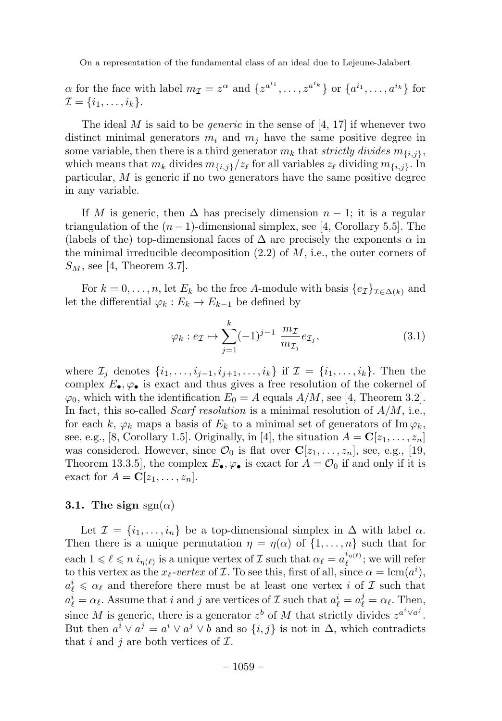$\alpha$  for the face with label  $m_{\mathcal{I}} = z^{\alpha}$  and  $\{z^{a^{i_1}}, \ldots, z^{a^{i_k}}\}$  or  $\{a^{i_1}, \ldots, a^{i_k}\}$  for  $\mathcal{I} = \{i_1,\ldots,i_k\}.$ 

The ideal  $M$  is said to be *generic* in the sense of [4, 17] if whenever two distinct minimal generators  $m_i$  and  $m_j$  have the same positive degree in some variable, then there is a third generator  $m_k$  that strictly divides  $m_{\{i,j\}}$ , which means that  $m_k$  divides  $m_{\{i,j\}}/z_\ell$  for all variables  $z_\ell$  dividing  $m_{\{i,j\}}$ . In particular, M is generic if no two generators have the same positive degree in any variable.

If M is generic, then  $\Delta$  has precisely dimension  $n-1$ ; it is a regular triangulation of the  $(n-1)$ -dimensional simplex, see [4, Corollary 5.5]. The (labels of the) top-dimensional faces of  $\Delta$  are precisely the exponents  $\alpha$  in the minimal irreducible decomposition  $(2.2)$  of M, i.e., the outer corners of  $S_M$ , see [4, Theorem 3.7].

For  $k = 0, \ldots, n$ , let  $E_k$  be the free A-module with basis  $\{e_{\mathcal{I}}\}_{\mathcal{I} \in \Delta(k)}$  and let the differential  $\varphi_k : E_k \to E_{k-1}$  be defined by

$$
\varphi_k : e_{\mathcal{I}} \mapsto \sum_{j=1}^k (-1)^{j-1} \frac{m_{\mathcal{I}}}{m_{\mathcal{I}_j}} e_{\mathcal{I}_j},\tag{3.1}
$$

where  $\mathcal{I}_j$  denotes  $\{i_1,\ldots,i_{j-1},i_{j+1},\ldots,i_k\}$  if  $\mathcal{I} = \{i_1,\ldots,i_k\}$ . Then the complex  $E_{\bullet}, \varphi_{\bullet}$  is exact and thus gives a free resolution of the cokernel of  $\varphi_0$ , which with the identification  $E_0 = A$  equals  $A/M$ , see [4, Theorem 3.2]. In fact, this so-called *Scarf resolution* is a minimal resolution of  $A/M$ , i.e., for each k,  $\varphi_k$  maps a basis of  $E_k$  to a minimal set of generators of Im  $\varphi_k$ , see, e.g., [8, Corollary 1.5]. Originally, in [4], the situation  $A = \mathbf{C}[z_1, \ldots, z_n]$ was considered. However, since  $\mathcal{O}_0$  is flat over  $\mathbf{C}[z_1,\ldots,z_n]$ , see, e.g., [19, Theorem 13.3.5, the complex  $E_{\bullet}$ ,  $\varphi_{\bullet}$  is exact for  $A = \mathcal{O}_0$  if and only if it is exact for  $A = \mathbf{C}[z_1,\ldots,z_n].$ 

# 3.1. The sign  $sgn(\alpha)$

Let  $\mathcal{I} = \{i_1, \ldots, i_n\}$  be a top-dimensional simplex in  $\Delta$  with label  $\alpha$ . Then there is a unique permutation  $\eta = \eta(\alpha)$  of  $\{1, \ldots, n\}$  such that for each  $1 \leq \ell \leq n$   $i_{\eta(\ell)}$  is a unique vertex of  $\mathcal I$  such that  $\alpha_{\ell} = a_{\ell}^{i_{\eta(\ell)}}$ ; we will refer to this vertex as the  $x_{\ell}$ -vertex of  $\mathcal I$ . To see this, first of all, since  $\alpha = \text{lcm}(a^i)$ ,  $a_\ell^i \leq \alpha_\ell$  and therefore there must be at least one vertex  $i$  of  ${\cal I}$  such that  $a_{\ell}^{i} = \alpha_{\ell}$ . Assume that i and j are vertices of  $\mathcal{I}$  such that  $a_{\ell}^{i} = a_{\ell}^{j} = \alpha_{\ell}$ . Then, since M is generic, there is a generator  $z^b$  of M that strictly divides  $z^{a^i \vee a^j}$ . But then  $a^i \vee a^j = a^i \vee a^j \vee b$  and so  $\{i, j\}$  is not in  $\Delta$ , which contradicts that i and j are both vertices of  $\mathcal{I}$ .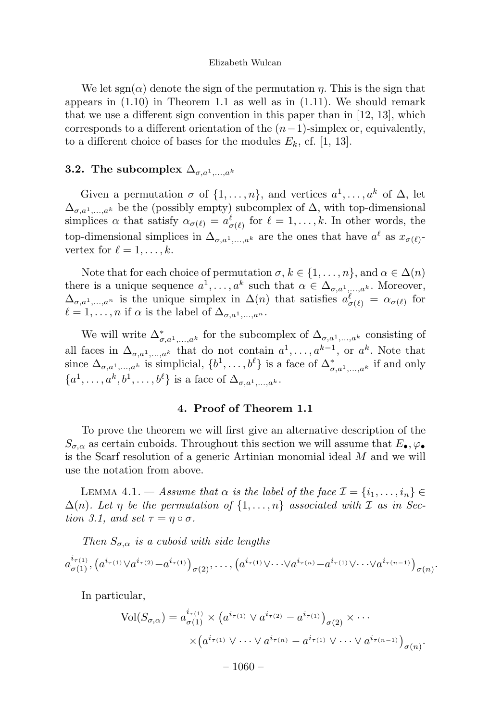We let sgn( $\alpha$ ) denote the sign of the permutation  $\eta$ . This is the sign that appears in  $(1.10)$  in Theorem 1.1 as well as in  $(1.11)$ . We should remark that we use a different sign convention in this paper than in [12, 13], which corresponds to a different orientation of the  $(n-1)$ -simplex or, equivalently, to a different choice of bases for the modules  $E_k$ , cf. [1, 13].

# **3.2.** The subcomplex  $\Delta_{\sigma,a^1,\ldots,a^k}$

Given a permutation  $\sigma$  of  $\{1,\ldots,n\}$ , and vertices  $a^1,\ldots,a^k$  of  $\Delta$ , let  $\Delta_{\sigma,a^1,\dots,a^k}$  be the (possibly empty) subcomplex of  $\Delta$ , with top-dimensional simplices  $\alpha$  that satisfy  $\alpha_{\sigma(\ell)} = a_{\sigma(\ell)}^{\ell}$  for  $\ell = 1, \ldots, k$ . In other words, the top-dimensional simplices in  $\Delta_{\sigma,a^1,\dots,a^k}$  are the ones that have  $a^{\ell}$  as  $x_{\sigma(\ell)}$ vertex for  $\ell = 1, \ldots, k$ .

Note that for each choice of permutation  $\sigma, k \in \{1, \ldots, n\}$ , and  $\alpha \in \Delta(n)$ there is a unique sequence  $a^1, \ldots, a^k$  such that  $\alpha \in \Delta_{\sigma, a^1, \ldots, a^k}$ . Moreover,  $\Delta_{\sigma,a^1,\dots,a^n}$  is the unique simplex in  $\Delta(n)$  that satisfies  $a_{\sigma(\ell)}^{\ell} = \alpha_{\sigma(\ell)}$  for  $\ell = 1,\ldots,n$  if  $\alpha$  is the label of  $\Delta_{\sigma,a^1,\ldots,a^n}$ .

We will write  $\Delta^*_{\sigma,a^1,\dots,a^k}$  for the subcomplex of  $\Delta_{\sigma,a^1,\dots,a^k}$  consisting of all faces in  $\Delta_{\sigma,a^1,\dots,a^k}$  that do not contain  $a^1,\dots,a^{k-1}$ , or  $a^k$ . Note that since  $\Delta_{\sigma,a^1,\dots,a^k}$  is simplicial,  $\{b^1,\dots,b^\ell\}$  is a face of  $\Delta^*_{\sigma,a^1,\dots,a^k}$  if and only  ${a^1,\ldots,a^k,b^1,\ldots,b^\ell}$  is a face of  $\Delta_{\sigma,a^1,\ldots,a^k}$ .

# 4. Proof of Theorem 1.1

To prove the theorem we will first give an alternative description of the  $S_{\sigma,\alpha}$  as certain cuboids. Throughout this section we will assume that  $E_{\bullet}, \varphi_{\bullet}$ is the Scarf resolution of a generic Artinian monomial ideal M and we will use the notation from above.

LEMMA 4.1. — Assume that  $\alpha$  is the label of the face  $\mathcal{I} = \{i_1, \ldots, i_n\} \in$  $\Delta(n)$ . Let  $\eta$  be the permutation of  $\{1,\ldots,n\}$  associated with  $\mathcal I$  as in Section 3.1, and set  $\tau = \eta \circ \sigma$ .

Then  $S_{\sigma,\alpha}$  is a cuboid with side lengths

$$
a_{\sigma(1)}^{i_{\tau(1)}}, (a^{i_{\tau(1)}} \vee a^{i_{\tau(2)}} - a^{i_{\tau(1)}})_{\sigma(2)}, \ldots, (a^{i_{\tau(1)}} \vee \cdots \vee a^{i_{\tau(n)}} - a^{i_{\tau(1)}} \vee \cdots \vee a^{i_{\tau(n-1)}})_{\sigma(n)}.
$$

In particular,

$$
\text{Vol}(S_{\sigma,\alpha}) = a_{\sigma(1)}^{i_{\tau(1)}} \times \left( a^{i_{\tau(1)}} \vee a^{i_{\tau(2)}} - a^{i_{\tau(1)}} \right)_{\sigma(2)} \times \cdots
$$

$$
\times \left( a^{i_{\tau(1)}} \vee \cdots \vee a^{i_{\tau(n)}} - a^{i_{\tau(1)}} \vee \cdots \vee a^{i_{\tau(n-1)}} \right)_{\sigma(n)}.
$$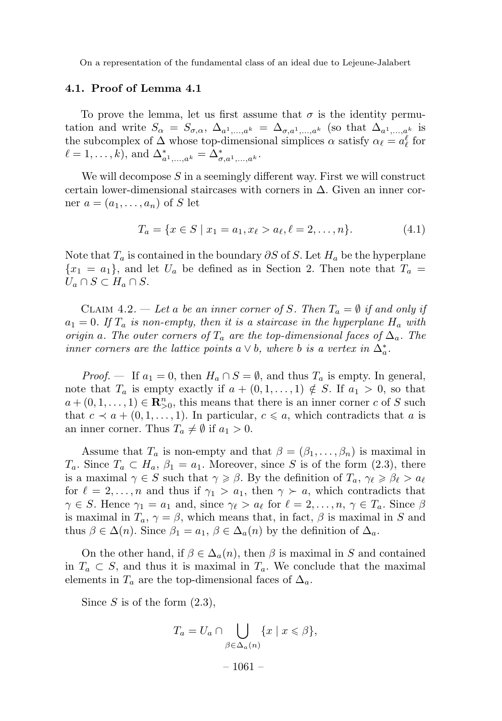# 4.1. Proof of Lemma 4.1

To prove the lemma, let us first assume that  $\sigma$  is the identity permutation and write  $S_{\alpha} = S_{\sigma,\alpha}, \Delta_{a^1,...,a^k} = \Delta_{\sigma,a^1,...,a^k}$  (so that  $\Delta_{a^1,...,a^k}$  is the subcomplex of  $\Delta$  whose top-dimensional simplices  $\alpha$  satisfy  $\alpha_{\ell} = a_{\ell}^{\ell}$  for  $\ell = 1, \ldots, k$ , and  $\Delta_{a^1, \ldots, a^k}^* = \Delta_{\sigma, a^1, \ldots, a^k}^*$ .

We will decompose  $S$  in a seemingly different way. First we will construct certain lower-dimensional staircases with corners in  $\Delta$ . Given an inner corner  $a = (a_1, \ldots, a_n)$  of S let

$$
T_a = \{x \in S \mid x_1 = a_1, x_\ell > a_\ell, \ell = 2, \dots, n\}.
$$
 (4.1)

Note that  $T_a$  is contained in the boundary  $\partial S$  of S. Let  $H_a$  be the hyperplane  ${x_1 = a_1}$ , and let  $U_a$  be defined as in Section 2. Then note that  $T_a =$  $U_a \cap S \subset H_a \cap S$ .

CLAIM 4.2. — Let a be an inner corner of S. Then  $T_a = \emptyset$  if and only if  $a_1 = 0$ . If  $T_a$  is non-empty, then it is a staircase in the hyperplane  $H_a$  with origin a. The outer corners of  $T_a$  are the top-dimensional faces of  $\Delta_a$ . The inner corners are the lattice points a  $\vee$  b, where b is a vertex in  $\Delta_a^*$ .

*Proof.* — If  $a_1 = 0$ , then  $H_a \cap S = \emptyset$ , and thus  $T_a$  is empty. In general, note that  $T_a$  is empty exactly if  $a + (0, 1, \ldots, 1) \notin S$ . If  $a_1 > 0$ , so that  $a + (0, 1, \ldots, 1) \in \mathbb{R}_{>0}^n$ , this means that there is an inner corner c of S such that  $c \prec a + (0, 1, \ldots, 1)$ . In particular,  $c \leq a$ , which contradicts that a is an inner corner. Thus  $T_a \neq \emptyset$  if  $a_1 > 0$ .

Assume that  $T_a$  is non-empty and that  $\beta = (\beta_1, \ldots, \beta_n)$  is maximal in  $T_a$ . Since  $T_a \subset H_a$ ,  $\beta_1 = a_1$ . Moreover, since S is of the form  $(2.3)$ , there is a maximal  $\gamma \in S$  such that  $\gamma \geq \beta$ . By the definition of  $T_a$ ,  $\gamma_{\ell} \geq \beta_{\ell} > a_{\ell}$ for  $\ell = 2, \ldots, n$  and thus if  $\gamma_1 > a_1$ , then  $\gamma > a$ , which contradicts that  $\gamma \in S$ . Hence  $\gamma_1 = a_1$  and, since  $\gamma_\ell > a_\ell$  for  $\ell = 2, \ldots, n, \gamma \in T_a$ . Since  $\beta$ is maximal in  $T_a$ ,  $\gamma = \beta$ , which means that, in fact,  $\beta$  is maximal in S and thus  $\beta \in \Delta(n)$ . Since  $\beta_1 = a_1, \beta \in \Delta_a(n)$  by the definition of  $\Delta_a$ .

On the other hand, if  $\beta \in \Delta_a(n)$ , then  $\beta$  is maximal in S and contained in  $T_a \subset S$ , and thus it is maximal in  $T_a$ . We conclude that the maximal elements in  $T_a$  are the top-dimensional faces of  $\Delta_a$ .

Since S is of the form  $(2.3)$ ,

$$
T_a = U_a \cap \bigcup_{\beta \in \Delta_a(n)} \{x \mid x \leq \beta\},\
$$
  
- 1061 -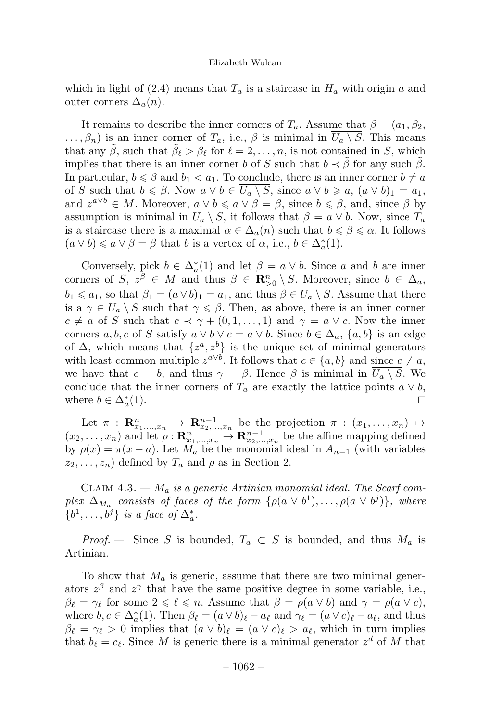which in light of (2.4) means that  $T_a$  is a staircase in  $H_a$  with origin a and outer corners  $\Delta_a(n)$ .

It remains to describe the inner corners of  $T_a$ . Assume that  $\beta = (a_1, \beta_2, \dots, \beta_n)$  $\ldots, \beta_n$ ) is an inner corner of  $T_a$ , i.e.,  $\beta$  is minimal in  $\overline{U_a \setminus S}$ . This means that any  $\tilde{\beta}$ , such that  $\tilde{\beta}_{\ell} > \beta_{\ell}$  for  $\ell = 2, \ldots, n$ , is not contained in S, which implies that there is an inner corner b of S such that  $b \prec \beta$  for any such  $\beta$ . In particular,  $b \le \beta$  and  $b_1 < a_1$ . To conclude, there is an inner corner  $b \ne a$ of S such that  $b \le \beta$ . Now  $a \vee b \in U_a \setminus S$ , since  $a \vee b \ge a$ ,  $(a \vee b)_1 = a_1$ , and  $z^{a \vee b} \in M$ . Moreover,  $a \vee b \leq a \vee \beta = \beta$ , since  $b \leq \beta$ , and, since  $\beta$  by assumption is minimal in  $\overline{U_a \setminus S}$ , it follows that  $\beta = a \vee b$ . Now, since  $T_a$ is a staircase there is a maximal  $\alpha \in \Delta_a(n)$  such that  $b \le \beta \le \alpha$ . It follows  $(a \vee b) \leq a \vee \beta = \beta$  that b is a vertex of  $\alpha$ , i.e.,  $b \in \Delta_a^*(1)$ .

Conversely, pick  $b \in \Delta_a^*(1)$  and let  $\underline{\beta} = a \vee b$ . Since a and b are inner corners of  $S, z^{\beta} \in M$  and thus  $\beta \in \overline{\mathbf{R}^n_{>0} \setminus S}$ . Moreover, since  $b \in \Delta_a$ ,  $b_1 \leq a_1$ , so that  $\beta_1 = (a \vee b)_1 = a_1$ , and thus  $\beta \in \overline{U_a \setminus S}$ . Assume that there is a  $\gamma \in \overline{U_a \setminus S}$  such that  $\gamma \leq \beta$ . Then, as above, there is an inner corner  $c \neq a$  of S such that  $c \prec \gamma + (0, 1, \ldots, 1)$  and  $\gamma = a \vee c$ . Now the inner corners a, b, c of S satisfy  $a \vee b \vee c = a \vee b$ . Since  $b \in \Delta_a$ ,  $\{a, b\}$  is an edge of  $\Delta$ , which means that  $\{z^a, z^b\}$  is the unique set of minimal generators with least common multiple  $z^{a\vee b}$ . It follows that  $c \in \{a, b\}$  and since  $c \neq a$ , we have that  $c = b$ , and thus  $\gamma = \beta$ . Hence  $\beta$  is minimal in  $\overline{U_a \setminus S}$ . We conclude that the inner corners of  $T_a$  are exactly the lattice points  $a \vee b$ , where  $b \in \Delta^*(1)$ . where  $b \in \Delta_a^*(1)$ .  $a^*(1)$ .

Let  $\pi$  :  $\mathbf{R}_{x_1,...,x_n}^n \to \mathbf{R}_{x_2,...,x_n}^{n-1}$  be the projection  $\pi$  :  $(x_1,...,x_n) \mapsto$  $(x_2,...,x_n)$  and let  $\rho: \mathbf{R}_{x_1,...,x_n}^n \to \mathbf{R}_{x_2,...,x_n}^{n-1}$  be the affine mapping defined by  $\rho(x) = \pi(x - a)$ . Let  $M_a$  be the monomial ideal in  $A_{n-1}$  (with variables  $z_2,\ldots,z_n$ ) defined by  $T_a$  and  $\rho$  as in Section 2.

CLAIM 4.3. —  $M_a$  is a generic Artinian monomial ideal. The Scarf complex  $\Delta_{M_a}$  consists of faces of the form  $\{\rho(a \vee b^1), \ldots, \rho(a \vee b^j)\}\$ , where  $\{b^1,\ldots,b^j\}$  is a face of  $\Delta_a^*$ .

*Proof.* — Since S is bounded,  $T_a \subset S$  is bounded, and thus  $M_a$  is Artinian.

To show that  $M_a$  is generic, assume that there are two minimal generators  $z^{\beta}$  and  $z^{\gamma}$  that have the same positive degree in some variable, i.e.,  $\beta_{\ell} = \gamma_{\ell}$  for some  $2 \leq \ell \leq n$ . Assume that  $\beta = \rho(a \vee b)$  and  $\gamma = \rho(a \vee c)$ , where  $b, c \in \Delta_a^*(1)$ . Then  $\beta_{\ell} = (a \vee b)_{\ell} - a_{\ell}$  and  $\gamma_{\ell} = (a \vee c)_{\ell} - a_{\ell}$ , and thus  $\beta_{\ell} = \gamma_{\ell} > 0$  implies that  $(a \vee b)_{\ell} = (a \vee c)_{\ell} > a_{\ell}$ , which in turn implies that  $b_{\ell} = c_{\ell}$ . Since M is generic there is a minimal generator  $z^{d}$  of M that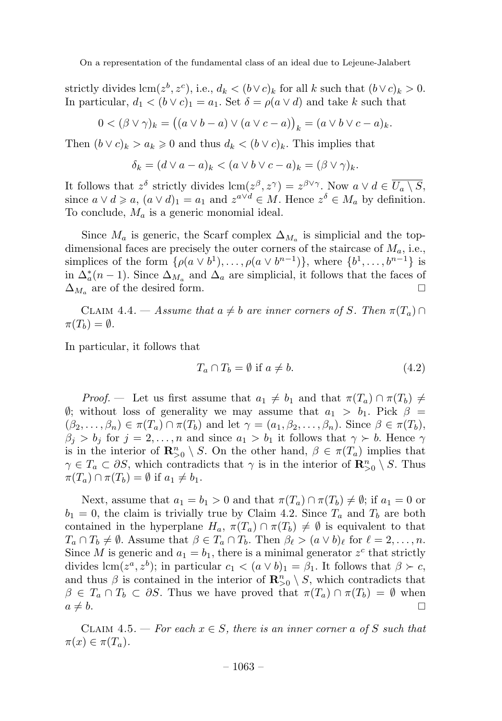strictly divides  $\text{lcm}(z^b, z^c)$ , i.e.,  $d_k < (b \vee c)_k$  for all k such that  $(b \vee c)_k > 0$ . In particular,  $d_1 < (b \vee c)_1 = a_1$ . Set  $\delta = \rho(a \vee d)$  and take k such that

$$
0 < (\beta \vee \gamma)_k = ((a \vee b - a) \vee (a \vee c - a))_k = (a \vee b \vee c - a)_k.
$$

Then  $(b \lor c)_k > a_k \geq 0$  and thus  $d_k < (b \lor c)_k$ . This implies that

$$
\delta_k = (d \vee a - a)_k < (a \vee b \vee c - a)_k = (\beta \vee \gamma)_k.
$$

It follows that  $z^{\delta}$  strictly divides  $\text{lcm}(z^{\beta}, z^{\gamma}) = z^{\beta \vee \gamma}$ . Now  $a \vee d \in \overline{U_a \setminus S}$ , since  $a \lor d \geq a$ ,  $(a \lor d)_1 = a_1$  and  $z^{a \lor d} \in M$ . Hence  $z^{\delta} \in M_a$  by definition. To conclude,  $M_a$  is a generic monomial ideal.

Since  $M_a$  is generic, the Scarf complex  $\Delta_{M_a}$  is simplicial and the topdimensional faces are precisely the outer corners of the staircase of  $M_a$ , i.e., simplices of the form  $\{\rho(a \vee b^1), \ldots, \rho(a \vee b^{n-1})\}$ , where  $\{b^1, \ldots, b^{n-1}\}$  is in  $\Delta_a^*(n-1)$ . Since  $\Delta_{M_a}$  and  $\Delta_a$  are simplicial, it follows that the faces of  $\Delta_{M_a}$  are of the desired form.

CLAIM 4.4. — Assume that  $a \neq b$  are inner corners of S. Then  $\pi(T_a) \cap$  $\pi(T_b) = \emptyset.$ 

In particular, it follows that

$$
T_a \cap T_b = \emptyset \text{ if } a \neq b. \tag{4.2}
$$

Proof. — Let us first assume that  $a_1 \neq b_1$  and that  $\pi(T_a) \cap \pi(T_b) \neq$  $\emptyset$ ; without loss of generality we may assume that  $a_1 > b_1$ . Pick  $\beta =$  $(\beta_2,\ldots,\beta_n)\in \pi(T_a)\cap \pi(T_b)$  and let  $\gamma=(a_1,\beta_2,\ldots,\beta_n)$ . Since  $\beta\in \pi(T_b)$ ,  $\beta_j > b_j$  for  $j = 2, ..., n$  and since  $a_1 > b_1$  it follows that  $\gamma > b$ . Hence  $\gamma$ is in the interior of  $\mathbb{R}^n_{>0} \setminus S$ . On the other hand,  $\beta \in \pi(T_a)$  implies that  $\gamma \in T_a \subset \partial S$ , which contradicts that  $\gamma$  is in the interior of  $\mathbb{R}^n_{>0} \setminus S$ . Thus  $\pi(T_a) \cap \pi(T_b) = \emptyset$  if  $a_1 \neq b_1$ .

Next, assume that  $a_1 = b_1 > 0$  and that  $\pi(T_a) \cap \pi(T_b) \neq \emptyset$ ; if  $a_1 = 0$  or  $b_1 = 0$ , the claim is trivially true by Claim 4.2. Since  $T_a$  and  $T_b$  are both contained in the hyperplane  $H_a$ ,  $\pi(T_a) \cap \pi(T_b) \neq \emptyset$  is equivalent to that  $T_a \cap T_b \neq \emptyset$ . Assume that  $\beta \in T_a \cap T_b$ . Then  $\beta_{\ell} > (a \vee b)_{\ell}$  for  $\ell = 2, \ldots, n$ . Since M is generic and  $a_1 = b_1$ , there is a minimal generator  $z^c$  that strictly divides lcm( $z^a, z^b$ ); in particular  $c_1 < (a \vee b)_1 = \beta_1$ . It follows that  $\beta \succ c$ , and thus  $\beta$  is contained in the interior of  $\mathbb{R}^n_{\geq 0} \setminus S$ , which contradicts that  $\beta \in T_a \cap T_b \subset \partial S$ . Thus we have proved that  $\pi(T_a) \cap \pi(T_b) = \emptyset$  when  $a \neq b$ .  $a \neq b$ .

CLAIM 4.5. — For each  $x \in S$ , there is an inner corner a of S such that  $\pi(x) \in \pi(T_a)$ .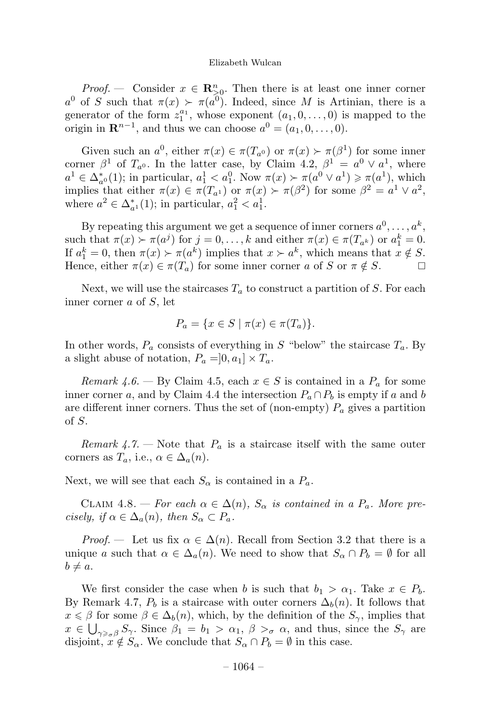*Proof.* — Consider  $x \in \mathbb{R}_{\geq 0}^n$ . Then there is at least one inner corner a<sup>0</sup> of S such that  $\pi(x) > \pi(a^{0})$ . Indeed, since M is Artinian, there is a generator of the form  $z_1^{a_1}$ , whose exponent  $(a_1, 0, \ldots, 0)$  is mapped to the origin in  $\mathbb{R}^{n-1}$ , and thus we can choose  $a^0 = (a_1, 0, \ldots, 0)$ .

Given such an  $a^0$ , either  $\pi(x) \in \pi(T_{a^0})$  or  $\pi(x) \succ \pi(\beta^1)$  for some inner corner  $\beta^1$  of  $T_{a^0}$ . In the latter case, by Claim 4.2,  $\beta^1 = a^0 \vee a^1$ , where  $a^1 \in \Delta_{a^0}^*(1)$ ; in particular,  $a_1^1 < a_1^0$ . Now  $\pi(x) > \pi(a^0 \vee a^1) \ge \pi(a^1)$ , which implies that either  $\pi(x) \in \pi(T_{a_1})$  or  $\pi(x) \succ \pi(\beta^2)$  for some  $\beta^2 = a^1 \vee a^2$ , where  $a^2 \in \Delta_{a^1}^*(1)$ ; in particular,  $a_1^2 < a_1^1$ .

By repeating this argument we get a sequence of inner corners  $a^0, \ldots, a^k$ , such that  $\pi(x) \succ \pi(a^j)$  for  $j = 0, \ldots, k$  and either  $\pi(x) \in \pi(T_{a^k})$  or  $a_1^k = 0$ . If  $a_1^k = 0$ , then  $\pi(x) \succ \pi(a^k)$  implies that  $x \succ a^k$ , which means that  $x \notin S$ . Hence, either  $\pi(x) \in \pi(T_a)$  for some inner corner a of S or  $\pi \notin S$ .

Next, we will use the staircases  $T_a$  to construct a partition of S. For each inner corner a of S, let

$$
P_a = \{ x \in S \mid \pi(x) \in \pi(T_a) \}.
$$

In other words,  $P_a$  consists of everything in S "below" the staircase  $T_a$ . By a slight abuse of notation,  $P_a = ]0, a_1] \times T_a$ .

Remark 4.6. — By Claim 4.5, each  $x \in S$  is contained in a  $P_a$  for some inner corner a, and by Claim 4.4 the intersection  $P_a \cap P_b$  is empty if a and b are different inner corners. Thus the set of (non-empty)  $P_a$  gives a partition of S.

Remark 4.7. – Note that  $P_a$  is a staircase itself with the same outer corners as  $T_a$ , i.e.,  $\alpha \in \Delta_a(n)$ .

Next, we will see that each  $S_{\alpha}$  is contained in a  $P_a$ .

CLAIM 4.8. — For each  $\alpha \in \Delta(n)$ ,  $S_{\alpha}$  is contained in a  $P_a$ . More precisely, if  $\alpha \in \Delta_a(n)$ , then  $S_\alpha \subset P_a$ .

*Proof.* — Let us fix  $\alpha \in \Delta(n)$ . Recall from Section 3.2 that there is a unique a such that  $\alpha \in \Delta_a(n)$ . We need to show that  $S_\alpha \cap P_b = \emptyset$  for all  $b \neq a$ .

We first consider the case when b is such that  $b_1 > \alpha_1$ . Take  $x \in P_b$ . By Remark 4.7,  $P_b$  is a staircase with outer corners  $\Delta_b(n)$ . It follows that  $x \leq \beta$  for some  $\beta \in \Delta_b(n)$ , which, by the definition of the  $S_\gamma$ , implies that  $x \in \bigcup_{\gamma \geq \sigma} S_{\gamma}$ . Since  $\beta_1 = b_1 > \alpha_1, \beta > \sigma \alpha$ , and thus, since the  $S_{\gamma}$  are disjoint,  $x \notin S_\alpha$ . We conclude that  $S_\alpha \cap P_b = \emptyset$  in this case.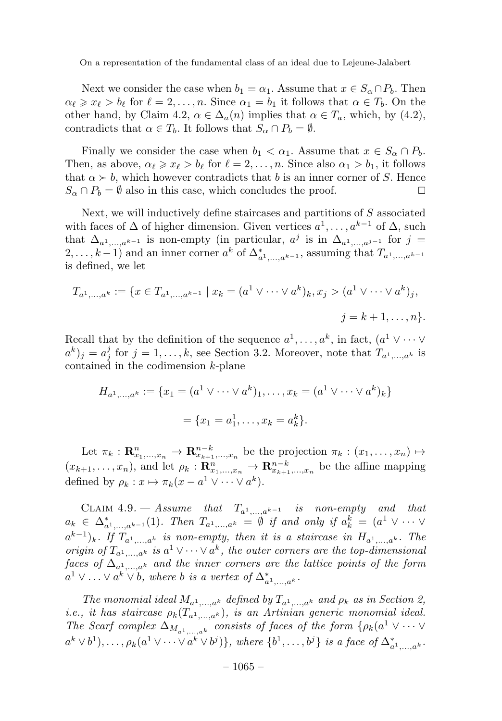Next we consider the case when  $b_1 = \alpha_1$ . Assume that  $x \in S_\alpha \cap P_b$ . Then  $\alpha_{\ell} \geq x_{\ell} > b_{\ell}$  for  $\ell = 2, \ldots, n$ . Since  $\alpha_1 = b_1$  it follows that  $\alpha \in T_b$ . On the other hand, by Claim 4.2,  $\alpha \in \Delta_a(n)$  implies that  $\alpha \in T_a$ , which, by (4.2), contradicts that  $\alpha \in T_b$ . It follows that  $S_\alpha \cap P_b = \emptyset$ .

Finally we consider the case when  $b_1 < \alpha_1$ . Assume that  $x \in S_\alpha \cap P_b$ . Then, as above,  $\alpha_{\ell} \geq x_{\ell} > b_{\ell}$  for  $\ell = 2, ..., n$ . Since also  $\alpha_1 > b_1$ , it follows that  $\alpha \succ b$ , which however contradicts that b is an inner corner of S. Hence  $S_{\alpha} \cap P_b = \emptyset$  also in this case, which concludes the proof.  $S_{\alpha} \cap P_{b} = \emptyset$  also in this case, which concludes the proof.

Next, we will inductively define staircases and partitions of S associated with faces of  $\Delta$  of higher dimension. Given vertices  $a^1, \ldots, a^{k-1}$  of  $\Delta$ , such that  $\Delta_{a^1,\ldots,a^{k-1}}$  is non-empty (in particular,  $a^j$  is in  $\Delta_{a^1,\ldots,a^{j-1}}$  for  $j=$  $(2,\ldots,k-1)$  and an inner corner  $a^k$  of  $\Delta_{a^1,\ldots,a^{k-1}}^*$ , assuming that  $T_{a^1,\ldots,a^{k-1}}$ is defined, we let

$$
T_{a^1,...,a^k} := \{ x \in T_{a^1,...,a^{k-1}} \mid x_k = (a^1 \vee \dots \vee a^k)_k, x_j > (a^1 \vee \dots \vee a^k)_j, j = k+1,...,n \}.
$$

Recall that by the definition of the sequence  $a^1,\ldots,a^k$ , in fact,  $(a^1 \vee \cdots \vee$  $(a^k)_j = a_j^j$  for  $j = 1, \ldots, k$ , see Section 3.2. Moreover, note that  $T_{a^1,\ldots,a^k}$  is contained in the codimension k-plane

$$
H_{a^1,...,a^k} := \{x_1 = (a^1 \vee \cdots \vee a^k)_1, \dots, x_k = (a^1 \vee \cdots \vee a^k)_k\}
$$

$$
= \{x_1 = a^1_1, \dots, x_k = a^k_k\}.
$$

Let  $\pi_k: \mathbf{R}_{x_1,\dots,x_n}^n \to \mathbf{R}_{x_{k+1},\dots,x_n}^{n-k}$  be the projection  $\pi_k: (x_1,\dots,x_n) \mapsto$  $(x_{k+1},\ldots,x_n)$ , and let  $\rho_k: \mathbf{R}_{x_1,\ldots,x_n}^n \to \mathbf{R}_{x_{k+1},\ldots,x_n}^{n-k}$  be the affine mapping defined by  $\rho_k : x \mapsto \pi_k(x - a^1 \vee \cdots \vee a^k)$ .

CLAIM 4.9. — Assume that  $T_{a^1,...,a^{k-1}}$  is non-empty and that  $a_k \in \Delta^*_{a^1,\dots,a^{k-1}}(1)$ . Then  $T_{a^1,\dots,a^k} = \emptyset$  if and only if  $a_k^k = (a^1 \vee \dots \vee a^n)$  $(a^{k-1})_k$ . If  $T_{a^1,\ldots,a^k}$  is non-empty, then it is a staircase in  $H_{a^1,\ldots,a^k}$ . The origin of  $T_{a^1,...,a^k}$  is  $a^1 \vee \cdots \vee a^k$ , the outer corners are the top-dimensional faces of  $\Delta_{a^1,...,a^k}$  and the inner corners are the lattice points of the form  $a^1 \vee \ldots \vee a^k \vee b$ , where b is a vertex of  $\Delta^*_{a^1,\ldots,a^k}$ .

The monomial ideal  $M_{a^1,...,a^k}$  defined by  $T_{a^1,...,a^k}$  and  $\rho_k$  as in Section 2, *i.e.*, it has staircase  $\rho_k(T_{a^1,...,a^k})$ , is an Artinian generic monomial ideal. The Scarf complex  $\Delta_{M_{a^1,\dots,a^k}}$  consists of faces of the form  $\{\rho_k(a^1 \vee \cdots \vee$  $a^k \vee b^1), \ldots, \rho_k(a^1 \vee \cdots \vee a^k \vee b^j)\},$  where  $\{b^1, \ldots, b^j\}$  is a face of  $\Delta_{a^1,\ldots,a^k}^*$ .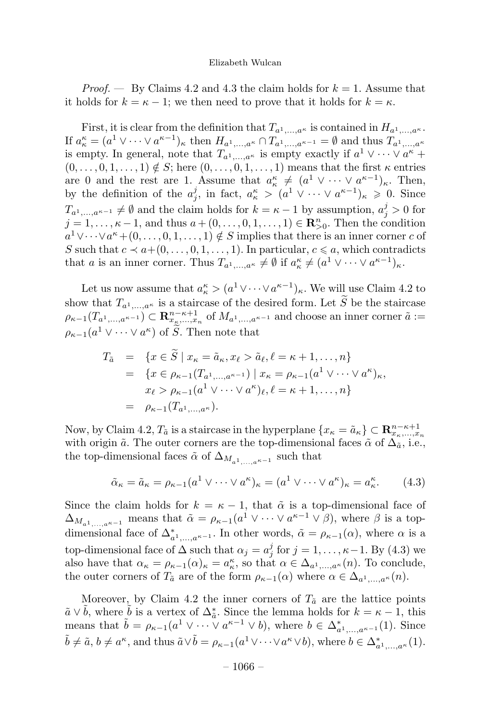*Proof.*  $\rightarrow$  By Claims 4.2 and 4.3 the claim holds for  $k = 1$ . Assume that it holds for  $k = \kappa - 1$ ; we then need to prove that it holds for  $k = \kappa$ .

First, it is clear from the definition that  $T_{a^1,...,a^{\kappa}}$  is contained in  $H_{a^1,...,a^{\kappa}}$ . If  $a_{\kappa}^{\kappa} = (a^1 \vee \cdots \vee a^{\kappa-1})_{\kappa}$  then  $H_{a^1,\ldots,a^{\kappa}} \cap T_{a^1,\ldots,a^{\kappa-1}} = \emptyset$  and thus  $T_{a^1,\ldots,a^{\kappa}}$ is empty. In general, note that  $T_{a^1,\ldots,a^k}$  is empty exactly if  $a^1 \vee \cdots \vee a^k$  +  $(0,\ldots,0,1,\ldots,1) \notin S$ ; here  $(0,\ldots,0,1,\ldots,1)$  means that the first  $\kappa$  entries are 0 and the rest are 1. Assume that  $a_{\kappa}^{\kappa} \neq (a^1 \vee \cdots \vee a^{\kappa-1})_{\kappa}$ . Then, by the definition of the  $a_j^j$ , in fact,  $a_{\kappa}^{\kappa} > (a^1 \vee \cdots \vee a^{\kappa-1})_{\kappa} \geq 0$ . Since  $T_{a^1,\dots,a^{\kappa-1}} \neq \emptyset$  and the claim holds for  $k = \kappa - 1$  by assumption,  $a_j^j > 0$  for  $j = 1, \ldots, \kappa - 1$ , and thus  $a + (0, \ldots, 0, 1, \ldots, 1) \in \mathbb{R}_{\geq 0}^n$ . Then the condition  $a^1 \vee \cdots \vee a^k + (0,\ldots,0,1,\ldots,1) \notin S$  implies that there is an inner corner c of S such that  $c \prec a+(0,\ldots,0,1,\ldots,1)$ . In particular,  $c \le a$ , which contradicts that a is an inner corner. Thus  $T_{a^1,...,a^k} \neq \emptyset$  if  $a_k^k \neq (a^1 \vee \cdots \vee a^{k-1})_k$ .

Let us now assume that  $a_{\kappa}^{\kappa} > (a^1 \vee \cdots \vee a^{\kappa-1})_{\kappa}$ . We will use Claim 4.2 to show that  $T_{a^1,\dots,a^k}$  is a staircase of the desired form. Let S be the staircase  $\rho_{\kappa-1}(T_{a^1,\ldots,a^{\kappa-1}}) \subset \mathbf{R}_{x_{\kappa},\ldots,x_n}^{n-\kappa+1}$  of  $M_{a^1,\ldots,a^{\kappa-1}}$  and choose an inner corner  $\tilde{a}$  :=  $\rho_{\kappa-1}(a^1 \vee \cdots \vee a^{\kappa})$  of  $\tilde{S}$ . Then note that

$$
T_{\tilde{a}} = \{x \in \tilde{S} \mid x_{\kappa} = \tilde{a}_{\kappa}, x_{\ell} > \tilde{a}_{\ell}, \ell = \kappa + 1, ..., n\}
$$
  
= 
$$
\{x \in \rho_{\kappa-1}(T_{a^1,...,a^{\kappa-1}}) \mid x_{\kappa} = \rho_{\kappa-1}(a^1 \vee \cdots \vee a^{\kappa})_{\kappa},
$$
  

$$
x_{\ell} > \rho_{\kappa-1}(a^1 \vee \cdots \vee a^{\kappa})_{\ell}, \ell = \kappa + 1, ..., n\}
$$
  
= 
$$
\rho_{\kappa-1}(T_{a^1,...,a^{\kappa}}).
$$

Now, by Claim 4.2,  $T_{\tilde{a}}$  is a staircase in the hyperplane  $\{x_{\kappa} = \tilde{a}_{\kappa}\} \subset \mathbb{R}^{n-\kappa+1}_{x_{\kappa},...,x_n}$ with origin  $\tilde{a}$ . The outer corners are the top-dimensional faces  $\tilde{\alpha}$  of  $\Delta_{\tilde{a}}$ , i.e., the top-dimensional faces  $\tilde{\alpha}$  of  $\Delta_{M_{\alpha1},\alpha}$  such that

$$
\tilde{\alpha}_{\kappa} = \tilde{a}_{\kappa} = \rho_{\kappa - 1} (a^1 \vee \cdots \vee a^{\kappa})_{\kappa} = (a^1 \vee \cdots \vee a^{\kappa})_{\kappa} = a^{\kappa}_{\kappa}.
$$
 (4.3)

Since the claim holds for  $k = \kappa - 1$ , that  $\tilde{\alpha}$  is a top-dimensional face of  $\Delta_{M_{a^1,\dots,a^{\kappa-1}}}$  means that  $\tilde{\alpha} = \rho_{\kappa-1}(a^1 \vee \dots \vee a^{\kappa-1} \vee \beta)$ , where  $\beta$  is a topdimensional face of  $\Delta_{a^1,\dots,a^{k-1}}^*$ . In other words,  $\tilde{\alpha} = \rho_{k-1}(\alpha)$ , where  $\alpha$  is a top-dimensional face of  $\Delta$  such that  $\alpha_j = a_j^j$  for  $j = 1, \ldots, \kappa - 1$ . By (4.3) we also have that  $\alpha_{\kappa} = \rho_{\kappa-1}(\alpha)_{\kappa} = a_{\kappa}^{\kappa}$ , so that  $\alpha \in \Delta_{a^1,\dots,a^{\kappa}}(n)$ . To conclude, the outer corners of  $T_{\tilde{a}}$  are of the form  $\rho_{\kappa-1}(\alpha)$  where  $\alpha \in \Delta_{a^1,...,a^{\kappa}}(n)$ .

Moreover, by Claim 4.2 the inner corners of  $T_{\tilde{a}}$  are the lattice points  $\tilde{a} \vee \tilde{b}$ , where  $\tilde{b}$  is a vertex of  $\Delta_{\tilde{a}}^*$ . Since the lemma holds for  $k = \kappa - 1$ , this means that  $\tilde{b} = \rho_{\kappa-1}(a^1 \vee \cdots \vee a^{\kappa-1} \vee b)$ , where  $b \in \Delta^*_{a^1,\dots,a^{\kappa-1}}(1)$ . Since  $\tilde{b} \neq \tilde{a}, b \neq a^{\kappa}$ , and thus  $\tilde{a} \vee \tilde{b} = \rho_{\kappa-1}(a^1 \vee \cdots \vee a^{\kappa} \vee b)$ , where  $b \in \Delta^*_{a^1, \ldots, a^{\kappa}}(1)$ .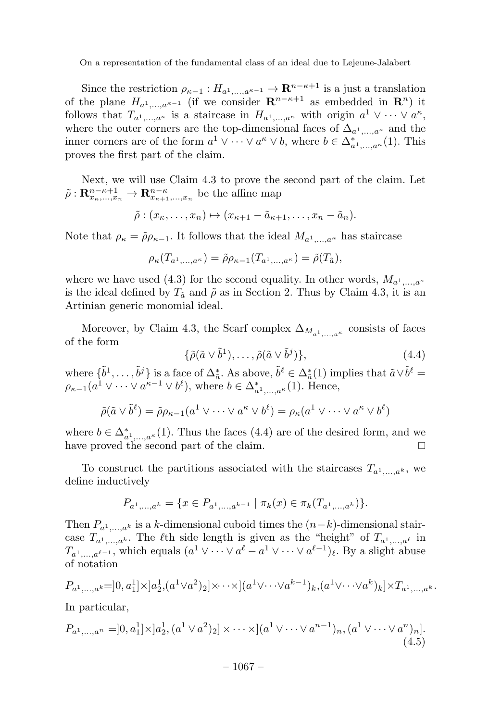Since the restriction  $\rho_{\kappa-1}: H_{a^1,\dots,a^{\kappa-1}} \to \mathbf{R}^{n-\kappa+1}$  is a just a translation of the plane  $H_{a^1,...,a^{\kappa-1}}$  (if we consider  $\mathbf{R}^{n-\kappa+1}$  as embedded in  $\mathbf{R}^n$ ) it follows that  $T_{a^1,\ldots,a^{\kappa}}$  is a staircase in  $H_{a^1,\ldots,a^{\kappa}}$  with origin  $a^1 \vee \cdots \vee a^{\kappa}$ , where the outer corners are the top-dimensional faces of  $\Delta_{a^1,\ldots,a^k}$  and the inner corners are of the form  $a^1 \vee \cdots \vee a^{\kappa} \vee b$ , where  $b \in \Delta^*_{a^1,\ldots,a^{\kappa}}(1)$ . This proves the first part of the claim.

Next, we will use Claim 4.3 to prove the second part of the claim. Let  $\tilde{\rho}: \mathbf{R}_{x_{\kappa},...,x_n}^{n-\kappa+1} \to \mathbf{R}_{x_{\kappa+1},...,x_n}^{n-\kappa}$  be the affine map

$$
\tilde{\rho}: (x_{\kappa}, \ldots, x_n) \mapsto (x_{\kappa+1} - \tilde{a}_{\kappa+1}, \ldots, x_n - \tilde{a}_n).
$$

Note that  $\rho_{\kappa} = \tilde{\rho} \rho_{\kappa-1}$ . It follows that the ideal  $M_{a^1,...,a^{\kappa}}$  has staircase

$$
\rho_{\kappa}(T_{a^1,\ldots,a^{\kappa}})=\tilde{\rho}\rho_{\kappa-1}(T_{a^1,\ldots,a^{\kappa}})=\tilde{\rho}(T_{\tilde{a}}),
$$

where we have used (4.3) for the second equality. In other words,  $M_{a^1,...,a^k}$ is the ideal defined by  $T_{\tilde{a}}$  and  $\tilde{\rho}$  as in Section 2. Thus by Claim 4.3, it is an Artinian generic monomial ideal.

Moreover, by Claim 4.3, the Scarf complex  $\Delta_{M_{a1}}$  are consists of faces of the form

$$
\{\tilde{\rho}(\tilde{a}\vee \tilde{b}^1),\ldots,\tilde{\rho}(\tilde{a}\vee \tilde{b}^j)\},\tag{4.4}
$$

where  $\{\tilde{b}^1,\ldots,\tilde{b}^j\}$  is a face of  $\Delta_{\tilde{a}}^*$ . As above,  $\tilde{b}^{\ell} \in \Delta_{\tilde{a}}^*(1)$  implies that  $\tilde{a} \vee \tilde{b}^{\ell} =$  $\rho_{\kappa-1}(a^1 \vee \cdots \vee a^{\kappa-1} \vee b^{\ell}),$  where  $b \in \Delta_{a^1,\ldots,a^{\kappa}}^*(1)$ . Hence,

$$
\tilde{\rho}(\tilde{a}\vee \tilde{b}^{\ell}) = \tilde{\rho}\rho_{\kappa-1}(a^1 \vee \cdots \vee a^{\kappa} \vee b^{\ell}) = \rho_{\kappa}(a^1 \vee \cdots \vee a^{\kappa} \vee b^{\ell})
$$

where  $b \in \Delta_{a_1,\ldots,a_k}^*(1)$ . Thus the faces (4.4) are of the desired form, and we have proved the second part of the claim.

To construct the partitions associated with the staircases  $T_{a^1,...,a^k}$ , we define inductively

$$
P_{a^1,\dots,a^k} = \{x \in P_{a^1,\dots,a^{k-1}} \mid \pi_k(x) \in \pi_k(T_{a^1,\dots,a^k})\}.
$$

Then  $P_{a^1,\ldots,a^k}$  is a k-dimensional cuboid times the  $(n-k)$ -dimensional staircase  $T_{a^1,...,a^k}$ . The  $\ell$ th side length is given as the "height" of  $T_{a^1,...,a^\ell}$  in  $T_{a^1,\ldots,a^{\ell-1}}$ , which equals  $(a^1 \vee \cdots \vee a^{\ell} - a^1 \vee \cdots \vee a^{\ell-1})$ . By a slight abuse of notation

$$
P_{a^1,...,a^k} = ]0, a_1^1] \times ]a_2^1, (a^1 \vee a^2)_2] \times \cdots \times ](a^1 \vee \cdots \vee a^{k-1})_k, (a^1 \vee \cdots \vee a^k)_k] \times T_{a^1,...,a^k}.
$$

In particular,

$$
P_{a^1,\dots,a^n} = ]0,a_1^1] \times ]a_2^1, (a^1 \vee a^2)_2] \times \cdots \times ](a^1 \vee \cdots \vee a^{n-1})_n, (a^1 \vee \cdots \vee a^n)_n].
$$
\n(4.5)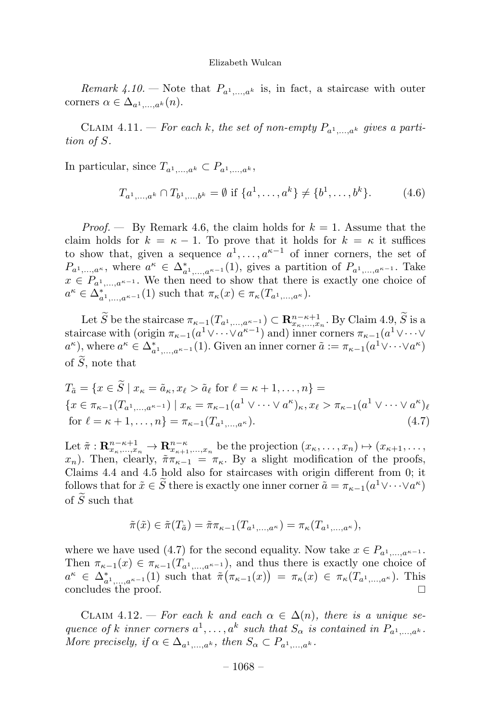Remark 4.10. – Note that  $P_{a^1,\ldots,a^k}$  is, in fact, a staircase with outer corners  $\alpha \in \Delta_{a^1,...,a^k}(n)$ .

CLAIM 4.11. — For each k, the set of non-empty  $P_{a_1}$ ,  $a_k$  gives a partition of S.

In particular, since  $T_{a^1,\ldots,a^k} \subset P_{a^1,\ldots,a^k}$ ,

$$
T_{a^1,\dots,a^k} \cap T_{b^1,\dots,b^k} = \emptyset \text{ if } \{a^1,\dots,a^k\} \neq \{b^1,\dots,b^k\}. \tag{4.6}
$$

*Proof.* — By Remark 4.6, the claim holds for  $k = 1$ . Assume that the claim holds for  $k = \kappa - 1$ . To prove that it holds for  $k = \kappa$  it suffices to show that, given a sequence  $a^1, \ldots, a^{\kappa-1}$  of inner corners, the set of  $P_{a^1,\dots,a^{\kappa}}$ , where  $a^{\kappa} \in \Delta_{a^1,\dots,a^{\kappa-1}}^*(1)$ , gives a partition of  $P_{a^1,\dots,a^{\kappa-1}}$ . Take  $x \in P_{a^1,...,a^{\kappa-1}}$ . We then need to show that there is exactly one choice of  $a^{\kappa} \in \Delta_{a^1,\ldots,a^{\kappa-1}}^*(1)$  such that  $\pi_{\kappa}(x) \in \pi_{\kappa}(T_{a^1,\ldots,a^{\kappa}})$ .

Let S be the staircase  $\pi_{\kappa-1}(T_{a^1,\ldots,a^{\kappa-1}}) \subset \mathbb{R}^{n-\kappa+1}_{x_{\kappa},\ldots,x_n}$ . By Claim 4.9, S is a staircase with (origin  $\pi_{\kappa-1}(a^1 \vee \cdots \vee a^{\kappa-1})$  and) inner corners  $\pi_{\kappa-1}(a^1 \vee \cdots \vee a^{\kappa-1})$  $a^{\kappa}$ ), where  $a^{\kappa} \in \Delta_{a^1,\dots,a^{\kappa-1}}^*(1)$ . Given an inner corner  $\tilde{a} := \pi_{\kappa-1}(a^1 \vee \dots \vee a^{\kappa})$ of S , note that

$$
T_{\tilde{a}} = \{x \in \tilde{S} \mid x_{\kappa} = \tilde{a}_{\kappa}, x_{\ell} > \tilde{a}_{\ell} \text{ for } \ell = \kappa + 1, ..., n\} =
$$
  

$$
\{x \in \pi_{\kappa-1}(T_{a^1,...,a^{\kappa-1}}) \mid x_{\kappa} = \pi_{\kappa-1}(a^1 \vee \cdots \vee a^{\kappa})_{\kappa}, x_{\ell} > \pi_{\kappa-1}(a^1 \vee \cdots \vee a^{\kappa})_{\ell}
$$
  
for  $\ell = \kappa + 1,..., n\} = \pi_{\kappa-1}(T_{a^1,...,a^{\kappa}}).$  (4.7)

Let  $\tilde{\pi}: \mathbf{R}_{x_{\kappa},...,x_n}^{n-\kappa+1} \to \mathbf{R}_{x_{\kappa+1},...,x_n}^{n-\kappa}$  be the projection  $(x_{\kappa},...,x_n) \mapsto (x_{\kappa+1},...,x_{\kappa+n})$  $x_n$ ). Then, clearly,  $\tilde{\pi}\pi_{\kappa-1} = \pi_{\kappa}$ . By a slight modification of the proofs, Claims 4.4 and 4.5 hold also for staircases with origin different from 0; it follows that for  $\tilde{x} \in S$  there is exactly one inner corner  $\tilde{a} = \pi_{\kappa-1}(a^1 \vee \cdots \vee a^{\kappa})$ of S such that

$$
\tilde{\pi}(\tilde{x}) \in \tilde{\pi}(T_{\tilde{a}}) = \tilde{\pi}\pi_{\kappa-1}(T_{a^1,\ldots,a^{\kappa}}) = \pi_{\kappa}(T_{a^1,\ldots,a^{\kappa}}),
$$

where we have used (4.7) for the second equality. Now take  $x \in P_{a^1,...,a^{\kappa-1}}$ . Then  $\pi_{\kappa-1}(x) \in \pi_{\kappa-1}(T_{a^1,\ldots,a^{\kappa-1}})$ , and thus there is exactly one choice of  $a^{\kappa} \in \Delta_{a^1,...,a^{\kappa-1}}^*(1)$  such that  $\tilde{\pi}(\pi_{\kappa-1}(x)) = \pi_{\kappa}(x) \in \pi_{\kappa}(T_{a^1,...,a^{\kappa}})$ . This concludes the proof.

CLAIM 4.12. — For each k and each  $\alpha \in \Delta(n)$ , there is a unique sequence of k inner corners  $a^1, \ldots, a^k$  such that  $S_\alpha$  is contained in  $P_{a^1,\ldots,a^k}$ . More precisely, if  $\alpha \in \Delta_{a^1,...,a^k}$ , then  $S_{\alpha} \subset P_{a^1,...,a^k}$ .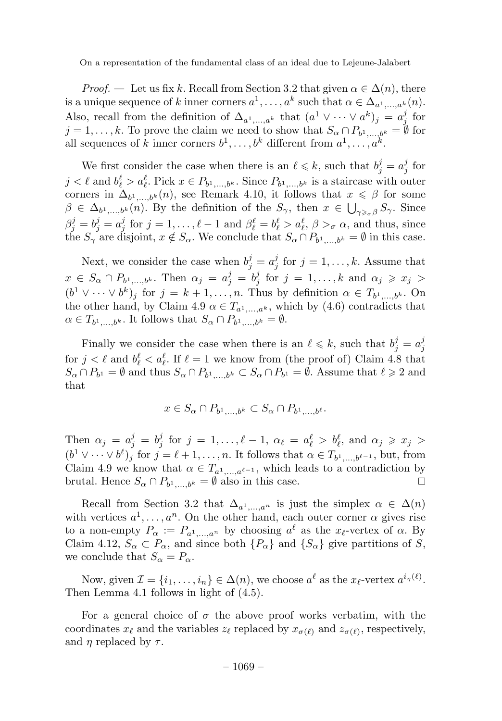*Proof.* — Let us fix k. Recall from Section 3.2 that given  $\alpha \in \Delta(n)$ , there is a unique sequence of k inner corners  $a^1, \ldots, a^k$  such that  $\alpha \in \Delta_{a^1,\ldots,a^k}(n)$ . Also, recall from the definition of  $\Delta_{a^1,...,a^k}$  that  $(a^1 \vee \cdots \vee a^k)_j = a^j_j$  for  $j = 1, \ldots, k$ . To prove the claim we need to show that  $S_{\alpha} \cap P_{b_1,\ldots,b_k} = \emptyset$  for all sequences of k inner corners  $b^1, \ldots, b^k$  different from  $a^1, \ldots, a^k$ .

We first consider the case when there is an  $\ell \leq k$ , such that  $b_j^j = a_j^j$  for  $j < \ell$  and  $b_{\ell}^{\ell} > a_{\ell}^{\ell}$ . Pick  $x \in P_{b^1,...,b^k}$ . Since  $P_{b^1,...,b^k}$  is a staircase with outer corners in  $\Delta_{b_1,\ldots,b_k}(n)$ , see Remark 4.10, it follows that  $x \leq \beta$  for some  $\beta \in \Delta_{b^1,\dots,b^k}(n)$ . By the definition of the  $S_{\gamma}$ , then  $x \in \bigcup_{\gamma \geq \sigma} S_{\gamma}$ . Since  $\beta_j^j = b_j^j = a_j^j$  for  $j = 1, \ldots, \ell-1$  and  $\beta_\ell^\ell = b_\ell^\ell > a_\ell^\ell$ ,  $\beta >_\sigma \alpha$ , and thus, since the  $S_{\gamma}$  are disjoint,  $x \notin S_{\alpha}$ . We conclude that  $S_{\alpha} \cap P_{b^1,\dots,b^k} = \emptyset$  in this case.

Next, we consider the case when  $b_j^j = a_j^j$  for  $j = 1, ..., k$ . Assume that  $x \in S_\alpha \cap P_{b^1,\dots,b^k}$ . Then  $\alpha_j = a_j^j = b_j^j$  for  $j = 1,\dots,k$  and  $\alpha_j \geqslant x_j >$  $(b^1 \vee \cdots \vee b^k)_j$  for  $j = k + 1, \ldots, n$ . Thus by definition  $\alpha \in T_{b^1,\ldots,b^k}$ . On the other hand, by Claim 4.9  $\alpha \in T_{a^1,...,a^k}$ , which by (4.6) contradicts that  $\alpha \in T_{b^1,\dots,b^k}$ . It follows that  $S_{\alpha} \cap P_{b^1,\dots,b^k} = \emptyset$ .

Finally we consider the case when there is an  $\ell \leq k$ , such that  $b_j^j = a_j^j$ for  $j < \ell$  and  $b_{\ell}^{\ell} < a_{\ell}^{\ell}$ . If  $\ell = 1$  we know from (the proof of) Claim 4.8 that  $S_{\alpha} \cap P_{b^1} = \emptyset$  and thus  $S_{\alpha} \cap P_{b^1,...,b^k} \subset S_{\alpha} \cap P_{b^1} = \emptyset$ . Assume that  $\ell \geq 2$  and that

$$
x \in S_{\alpha} \cap P_{b^1, \dots, b^k} \subset S_{\alpha} \cap P_{b^1, \dots, b^\ell}.
$$

Then  $\alpha_j = a_j^j = b_j^j$  for  $j = 1, ..., \ell - 1$ ,  $\alpha_\ell = a_\ell^\ell > b_\ell^\ell$ , and  $\alpha_j \geq x_j >$  $(b^1 \vee \cdots \vee b^{\ell})_j$  for  $j = \ell + 1, \ldots, n$ . It follows that  $\alpha \in T_{b^1,\ldots,b^{\ell-1}}$ , but, from Claim 4.9 we know that  $\alpha \in T_{a^1,...,a^{\ell-1}}$ , which leads to a contradiction by brutal. Hence  $S_{\alpha} \cap P_{b^1}$   $\qquad \qquad b^k} = \emptyset$  also in this case. brutal. Hence  $S_{\alpha} \cap P_{b^1,...,b^k} = \emptyset$  also in this case.

Recall from Section 3.2 that  $\Delta_{a^1,...,a^n}$  is just the simplex  $\alpha \in \Delta(n)$ with vertices  $a^1, \ldots, a^n$ . On the other hand, each outer corner  $\alpha$  gives rise to a non-empty  $P_{\alpha} := P_{a^1,...,a^n}$  by choosing  $a^{\ell}$  as the  $x_{\ell}$ -vertex of  $\alpha$ . By Claim 4.12,  $S_{\alpha} \subset P_{\alpha}$ , and since both  $\{P_{\alpha}\}\$ and  $\{S_{\alpha}\}\$  give partitions of S, we conclude that  $S_{\alpha} = P_{\alpha}$ .

Now, given  $\mathcal{I} = \{i_1, \ldots, i_n\} \in \Delta(n)$ , we choose  $a^{\ell}$  as the  $x_{\ell}$ -vertex  $a^{i_{\eta}(\ell)}$ . Then Lemma 4.1 follows in light of (4.5).

For a general choice of  $\sigma$  the above proof works verbatim, with the coordinates  $x_{\ell}$  and the variables  $z_{\ell}$  replaced by  $x_{\sigma(\ell)}$  and  $z_{\sigma(\ell)}$ , respectively, and  $\eta$  replaced by  $\tau$ .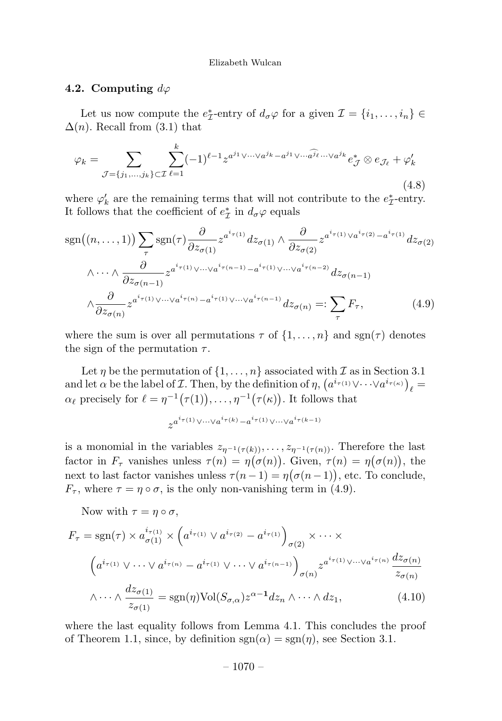# 4.2. Computing  $d\varphi$

Let us now compute the  $e^*_{\mathcal{I}}$ -entry of  $d_{\sigma}\varphi$  for a given  $\mathcal{I} = \{i_1, \ldots, i_n\} \in$  $\Delta(n)$ . Recall from (3.1) that

$$
\varphi_k = \sum_{\mathcal{J}=\{j_1,\dots,j_k\}\subset\mathcal{I}} \sum_{\ell=1}^k (-1)^{\ell-1} z^{a^{j_1}\vee\cdots\vee a^{j_k}-a^{j_1}\vee\cdots\widehat{a^{j_\ell}}\cdots\vee a^{j_k}} e^*_{\mathcal{J}} \otimes e_{\mathcal{J}_\ell} + \varphi'_k
$$
\n(4.8)

where  $\varphi'_k$  are the remaining terms that will not contribute to the  $e^*_\mathcal{I}$ -entry. It follows that the coefficient of  $e^*$  in  $d_{\sigma}\varphi$  equals

$$
sgn((n, \ldots, 1)) \sum_{\tau} sgn(\tau) \frac{\partial}{\partial z_{\sigma(1)}} z^{a^i \tau(1)} dz_{\sigma(1)} \wedge \frac{\partial}{\partial z_{\sigma(2)}} z^{a^i \tau(1)} \vee a^i \tau(2) - a^i \tau(1)} dz_{\sigma(2)}
$$

$$
\wedge \cdots \wedge \frac{\partial}{\partial z_{\sigma(n-1)}} z^{a^i \tau(1)} \vee \cdots \vee a^i \tau(n-1)} - a^i \tau(1) \vee \cdots \vee a^i \tau(n-2)} dz_{\sigma(n-1)}
$$

$$
\wedge \frac{\partial}{\partial z_{\sigma(n)}} z^{a^i \tau(1)} \vee \cdots \vee a^i \tau(n)} - a^i \tau(1) \vee \cdots \vee a^i \tau(n-1)} dz_{\sigma(n)} =: \sum_{\tau} F_{\tau}, \tag{4.9}
$$

where the sum is over all permutations  $\tau$  of  $\{1,\ldots,n\}$  and  $sgn(\tau)$  denotes the sign of the permutation  $\tau$ .

Let  $\eta$  be the permutation of  $\{1,\ldots,n\}$  associated with  $\mathcal I$  as in Section 3.1 and let  $\alpha$  be the label of *I*. Then, by the definition of  $\eta$ ,  $\left(a^{i_{\tau(1)}} \vee \cdots \vee a^{i_{\tau(\kappa)}}\right)_{\ell} =$  $\alpha_{\ell}$  precisely for  $\ell = \eta^{-1}(\tau(1)), \ldots, \eta^{-1}(\tau(\kappa))$ . It follows that

$$
z^{a^i\tau(1)\bigvee\cdots\bigvee a^i\tau(k)-a^{i\tau(1)}\bigvee\cdots\bigvee a^i\tau(k-1)}
$$

is a monomial in the variables  $z_{\eta^{-1}(\tau(k))}, \ldots, z_{\eta^{-1}(\tau(n))}$ . Therefore the last factor in  $F_{\tau}$  vanishes unless  $\tau(n) = \eta(\sigma(n))$ . Given,  $\tau(n) = \eta(\sigma(n))$ , the next to last factor vanishes unless  $\tau(n-1) = \eta(\sigma(n-1))$ , etc. To conclude,  $F_{\tau}$ , where  $\tau = \eta \circ \sigma$ , is the only non-vanishing term in (4.9).

Now with  $\tau = \eta \circ \sigma$ ,

$$
F_{\tau} = \text{sgn}(\tau) \times a_{\sigma(1)}^{i_{\tau(1)}} \times \left( a^{i_{\tau(1)}} \vee a^{i_{\tau(2)}} - a^{i_{\tau(1)}} \right)_{\sigma(2)} \times \cdots \times
$$

$$
\left( a^{i_{\tau(1)}} \vee \cdots \vee a^{i_{\tau(n)}} - a^{i_{\tau(1)}} \vee \cdots \vee a^{i_{\tau(n-1)}} \right)_{\sigma(n)} z^{a^{i_{\tau(1)}} \vee \cdots \vee a^{i_{\tau(n)}}} \frac{dz_{\sigma(n)}}{z_{\sigma(n)}}
$$

$$
\wedge \cdots \wedge \frac{az_{\sigma(1)}}{z_{\sigma(1)}} = \text{sgn}(\eta) \text{Vol}(S_{\sigma,\alpha}) z^{\alpha - 1} dz_n \wedge \cdots \wedge dz_1,
$$
\n(4.10)

where the last equality follows from Lemma 4.1. This concludes the proof of Theorem 1.1, since, by definition  $sgn(\alpha) = sgn(\eta)$ , see Section 3.1.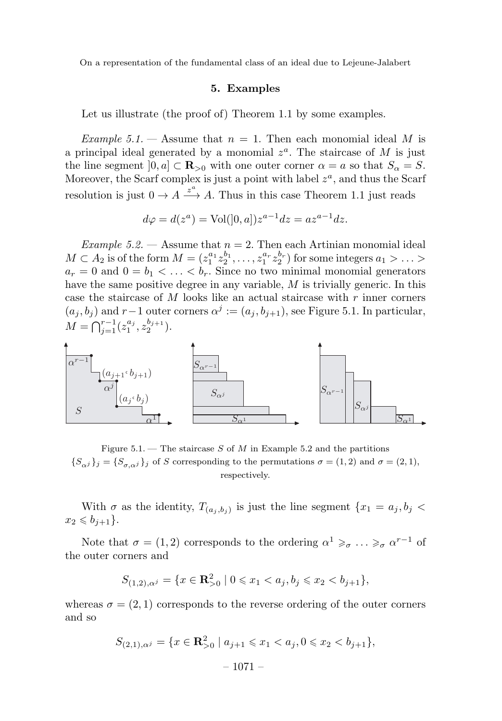### 5. Examples

Let us illustrate (the proof of) Theorem 1.1 by some examples.

Example 5.1. — Assume that  $n = 1$ . Then each monomial ideal M is a principal ideal generated by a monomial  $z^a$ . The staircase of M is just the line segment  $[0, a] \subset \mathbb{R}_{\geq 0}$  with one outer corner  $\alpha = a$  so that  $S_{\alpha} = S$ . Moreover, the Scarf complex is just a point with label  $z^a$ , and thus the Scarf resolution is just  $0 \to A \xrightarrow{z^a} A$ . Thus in this case Theorem 1.1 just reads

$$
d\varphi = d(z^a) = Vol([0, a]) z^{a-1} dz = a z^{a-1} dz.
$$

Example 5.2. — Assume that  $n = 2$ . Then each Artinian monomial ideal  $M \subset A_2$  is of the form  $M = (z_1^{a_1} z_2^{b_1}, \ldots, z_1^{a_r} z_2^{b_r})$  for some integers  $a_1 > \ldots > a_r$  $a_r = 0$  and  $0 = b_1 < \ldots < b_r$ . Since no two minimal monomial generators have the same positive degree in any variable, M is trivially generic. In this case the staircase of M looks like an actual staircase with  $r$  inner corners  $(a_i, b_i)$  and r−1 outer corners  $\alpha^j := (a_i, b_{i+1})$ , see Figure 5.1. In particular,  $M = \bigcap_{j=1}^{r-1} (z_1^{a_j}, z_2^{b_{j+1}}).$ 



Figure 5.1. – The staircase  $S$  of  $M$  in Example 5.2 and the partitions  ${S_{\alpha j}}_j = {S_{\sigma,\alpha j}}_j$  of S corresponding to the permutations  $\sigma = (1, 2)$  and  $\sigma = (2, 1)$ , respectively.

With  $\sigma$  as the identity,  $T_{(a_i, b_j)}$  is just the line segment  $\{x_1 = a_j, b_j \leq \sigma_i\}$  $x_2 \leqslant b_{i+1}$ .

Note that  $\sigma = (1, 2)$  corresponds to the ordering  $\alpha^1 \geq \alpha \cdots \geq \alpha^{r-1}$  of the outer corners and

$$
S_{(1,2),\alpha^j} = \{ x \in \mathbf{R}^2_{>0} \mid 0 \leq x_1 < a_j, b_j \leq x_2 < b_{j+1} \},
$$

whereas  $\sigma = (2, 1)$  corresponds to the reverse ordering of the outer corners and so

$$
S_{(2,1),\alpha^j} = \{x \in \mathbf{R}_{>0}^2 \mid a_{j+1} \leq x_1 < a_j, 0 \leq x_2 < b_{j+1}\},
$$
\n
$$
-1071 -
$$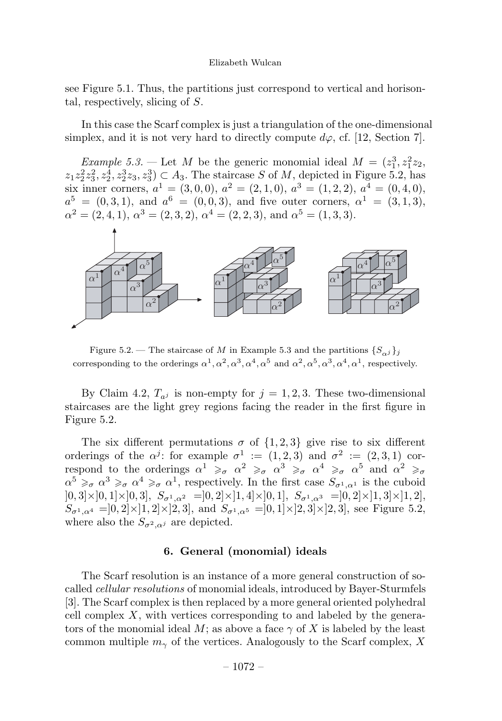see Figure 5.1. Thus, the partitions just correspond to vertical and horisontal, respectively, slicing of S.

In this case the Scarf complex is just a triangulation of the one-dimensional simplex, and it is not very hard to directly compute  $d\varphi$ , cf. [12, Section 7].

*Example* 5.3. – Let M be the generic monomial ideal  $M = (z_1^3, z_1^2z_2,$  $z_1 z_2^2 z_3^2, z_2^4, z_2^3 z_3, z_3^3) \subset A_3$ . The staircase S of M, depicted in Figure 5.2, has six inner corners,  $a^1 = (3, 0, 0), a^2 = (2, 1, 0), a^3 = (1, 2, 2), a^4 = (0, 4, 0),$  $a^5 = (0, 3, 1)$ , and  $a^6 = (0, 0, 3)$ , and five outer corners,  $\alpha^1 = (3, 1, 3)$ ,  $\alpha^{2} = (2, 4, 1), \alpha^{3} = (2, 3, 2), \alpha^{4} = (2, 2, 3), \text{ and } \alpha^{5} = (1, 3, 3).$ 



Figure 5.2. — The staircase of M in Example 5.3 and the partitions  $\{S_{\alpha i}\}_i$ corresponding to the orderings  $\alpha^1, \alpha^2, \alpha^3, \alpha^4, \alpha^5$  and  $\alpha^2, \alpha^5, \alpha^3, \alpha^4, \alpha^1$ , respectively.

By Claim 4.2,  $T_{a}$  is non-empty for  $j = 1, 2, 3$ . These two-dimensional staircases are the light grey regions facing the reader in the first figure in Figure 5.2.

The six different permutations  $\sigma$  of  $\{1, 2, 3\}$  give rise to six different orderings of the  $\alpha^{j}$ : for example  $\sigma^{1} := (1, 2, 3)$  and  $\sigma^{2} := (2, 3, 1)$  correspond to the orderings  $\alpha^1 \geq \alpha \alpha^2 \geq \alpha \alpha^3 \geq \alpha \alpha^4 \geq \alpha \alpha^5$  and  $\alpha^2 \geq \alpha$  $\alpha^5 \geq \alpha \alpha^3 \geq \alpha \alpha^4 \geq \alpha \alpha^1$ , respectively. In the first case  $S_{\sigma^1,\alpha^1}$  is the cuboid  $[0, 3] \times [0, 1] \times [0, 3], S_{\sigma^1, \alpha^2} = ]0, 2] \times [1, 4] \times [0, 1], S_{\sigma^1, \alpha^3} = ]0, 2] \times [1, 3] \times [1, 2],$  $S_{\sigma^1,\alpha^4} = ]0,2] \times ]1,2] \times ]2,3]$ , and  $S_{\sigma^1,\alpha^5} = ]0,1] \times ]2,3] \times ]2,3]$ , see Figure 5.2, where also the  $S_{\sigma^2,\alpha^j}$  are depicted.

# 6. General (monomial) ideals

The Scarf resolution is an instance of a more general construction of socalled cellular resolutions of monomial ideals, introduced by Bayer-Sturmfels [3]. The Scarf complex is then replaced by a more general oriented polyhedral cell complex  $X$ , with vertices corresponding to and labeled by the generators of the monomial ideal M; as above a face  $\gamma$  of X is labeled by the least common multiple  $m_{\gamma}$  of the vertices. Analogously to the Scarf complex, X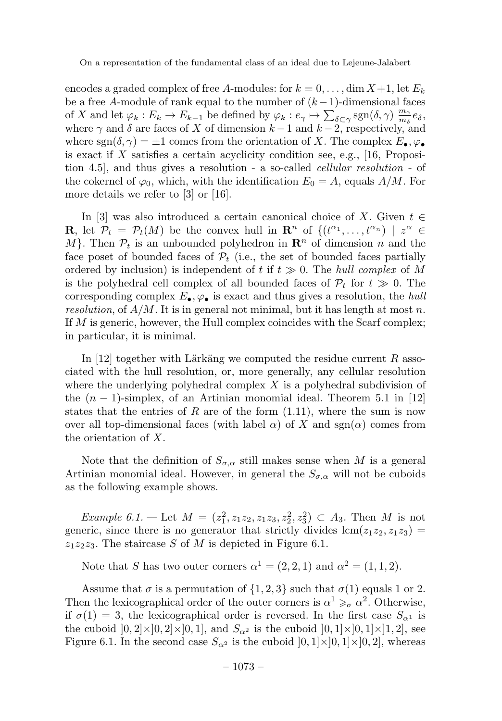encodes a graded complex of free A-modules: for  $k = 0, \ldots, \dim X + 1$ , let  $E_k$ be a free A-module of rank equal to the number of  $(k-1)$ -dimensional faces of X and let  $\varphi_k : E_k \to E_{k-1}$  be defined by  $\varphi_k : e_\gamma \mapsto \sum_{\delta \subset \gamma} \text{sgn}(\delta, \gamma) \frac{m_\gamma}{m_\delta} e_\delta$ where  $\gamma$  and  $\delta$  are faces of X of dimension  $k-1$  and  $k-2$ , respectively, and where  $sgn(\delta, \gamma) = \pm 1$  comes from the orientation of X. The complex  $E_{\bullet}$ ,  $\varphi_{\bullet}$ is exact if  $X$  satisfies a certain acyclicity condition see, e.g., [16, Proposition 4.5], and thus gives a resolution - a so-called cellular resolution - of the cokernel of  $\varphi_0$ , which, with the identification  $E_0 = A$ , equals  $A/M$ . For more details we refer to [3] or [16].

In [3] was also introduced a certain canonical choice of X. Given  $t \in$ **R**, let  $\mathcal{P}_t = \mathcal{P}_t(M)$  be the convex hull in  $\mathbb{R}^n$  of  $\{(t^{\alpha_1}, \ldots, t^{\alpha_n}) \mid z^{\alpha} \in$ M. Then  $P_t$  is an unbounded polyhedron in  $\mathbb{R}^n$  of dimension n and the face poset of bounded faces of  $\mathcal{P}_t$  (i.e., the set of bounded faces partially ordered by inclusion) is independent of t if  $t \geq 0$ . The hull complex of M is the polyhedral cell complex of all bounded faces of  $P_t$  for  $t \gg 0$ . The corresponding complex  $E_{\bullet}$ ,  $\varphi_{\bullet}$  is exact and thus gives a resolution, the hull resolution, of  $A/M$ . It is in general not minimal, but it has length at most n. If  $M$  is generic, however, the Hull complex coincides with the Scarf complex; in particular, it is minimal.

In [12] together with Lärkäng we computed the residue current  $R$  associated with the hull resolution, or, more generally, any cellular resolution where the underlying polyhedral complex  $X$  is a polyhedral subdivision of the  $(n-1)$ -simplex, of an Artinian monomial ideal. Theorem 5.1 in [12] states that the entries of R are of the form  $(1.11)$ , where the sum is now over all top-dimensional faces (with label  $\alpha$ ) of X and sgn( $\alpha$ ) comes from the orientation of X.

Note that the definition of  $S_{\sigma,\alpha}$  still makes sense when M is a general Artinian monomial ideal. However, in general the  $S_{\sigma,\alpha}$  will not be cuboids as the following example shows.

*Example 6.1.* — Let  $M = (z_1^2, z_1z_2, z_1z_3, z_2^2, z_3^2) \subset A_3$ . Then M is not generic, since there is no generator that strictly divides  $\text{lcm}(z_1z_2, z_1z_3)$  =  $z_1z_2z_3$ . The staircase S of M is depicted in Figure 6.1.

Note that S has two outer corners  $\alpha^1 = (2, 2, 1)$  and  $\alpha^2 = (1, 1, 2)$ .

Assume that  $\sigma$  is a permutation of  $\{1, 2, 3\}$  such that  $\sigma(1)$  equals 1 or 2. Then the lexicographical order of the outer corners is  $\alpha^1 \geq \alpha^2$ . Otherwise, if  $\sigma(1) = 3$ , the lexicographical order is reversed. In the first case  $S_{\alpha^1}$  is the cuboid  $[0,2]\times]0,2]\times]0,1]$ , and  $S_{\alpha^2}$  is the cuboid  $[0,1]\times]0,1]\times]1,2]$ , see Figure 6.1. In the second case  $S_{\alpha^2}$  is the cuboid  $]0,1] \times ]0,1] \times ]0,2]$ , whereas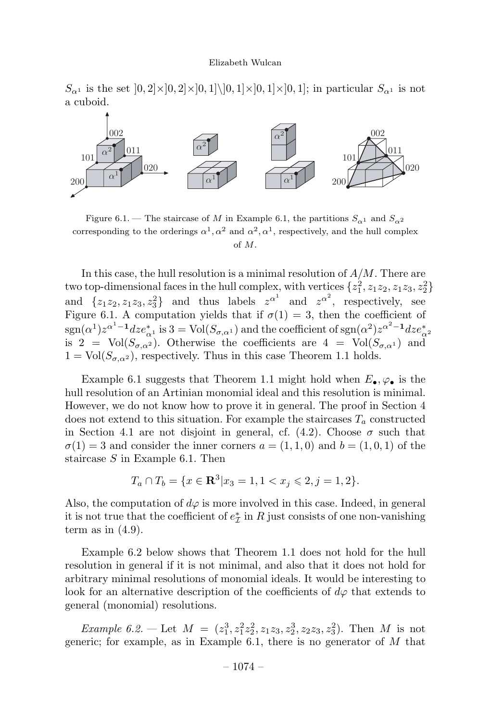$S_{\alpha^1}$  is the set  $[0, 2] \times [0, 2] \times [0, 1] \setminus [0, 1] \times [0, 1] \times [0, 1]$ ; in particular  $S_{\alpha^1}$  is not a cuboid.



Figure 6.1. — The staircase of M in Example 6.1, the partitions  $S_{\alpha^1}$  and  $S_{\alpha^2}$ corresponding to the orderings  $\alpha^1, \alpha^2$  and  $\alpha^2, \alpha^1$ , respectively, and the hull complex of M.

In this case, the hull resolution is a minimal resolution of  $A/M$ . There are two top-dimensional faces in the hull complex, with vertices  $\{z_1^2, z_1z_2, z_1z_3, z_2^2\}$ and  $\{z_1z_2, z_1z_3, z_3\}$  and thus labels  $z^{\alpha^1}$  and  $z^{\alpha^2}$ , respectively, see Figure 6.1. A computation yields that if  $\sigma(1) = 3$ , then the coefficient of  $\text{sgn}(\alpha^1)z^{\alpha^1-1}dz e^*_{\alpha^1}$  is  $3 = \text{Vol}(S_{\sigma,\alpha^1})$  and the coefficient of  $\text{sgn}(\alpha^2)z^{\alpha^2-1}dz e^*_{\alpha^2}$ is 2 = Vol( $S_{\sigma,\alpha^2}$ ). Otherwise the coefficients are 4 = Vol( $S_{\sigma,\alpha^1}$ ) and  $1 = Vol(S_{\sigma,\alpha^2})$ , respectively. Thus in this case Theorem 1.1 holds.

Example 6.1 suggests that Theorem 1.1 might hold when  $E_{\bullet}$ ,  $\varphi_{\bullet}$  is the hull resolution of an Artinian monomial ideal and this resolution is minimal. However, we do not know how to prove it in general. The proof in Section 4 does not extend to this situation. For example the staircases  $T_a$  constructed in Section 4.1 are not disjoint in general, cf.  $(4.2)$ . Choose  $\sigma$  such that  $\sigma(1) = 3$  and consider the inner corners  $a = (1, 1, 0)$  and  $b = (1, 0, 1)$  of the staircase  $S$  in Example 6.1. Then

$$
T_a \cap T_b = \{ x \in \mathbf{R}^3 | x_3 = 1, 1 < x_j \leqslant 2, j = 1, 2 \}.
$$

Also, the computation of  $d\varphi$  is more involved in this case. Indeed, in general it is not true that the coefficient of  $e^*_{\mathcal{I}}$  in R just consists of one non-vanishing term as in  $(4.9)$ .

Example 6.2 below shows that Theorem 1.1 does not hold for the hull resolution in general if it is not minimal, and also that it does not hold for arbitrary minimal resolutions of monomial ideals. It would be interesting to look for an alternative description of the coefficients of  $d\varphi$  that extends to general (monomial) resolutions.

*Example 6.2.* — Let  $M = (z_1^3, z_1^2z_2^2, z_1z_3, z_2^3, z_2z_3, z_3^2)$ . Then M is not generic; for example, as in Example 6.1, there is no generator of  $M$  that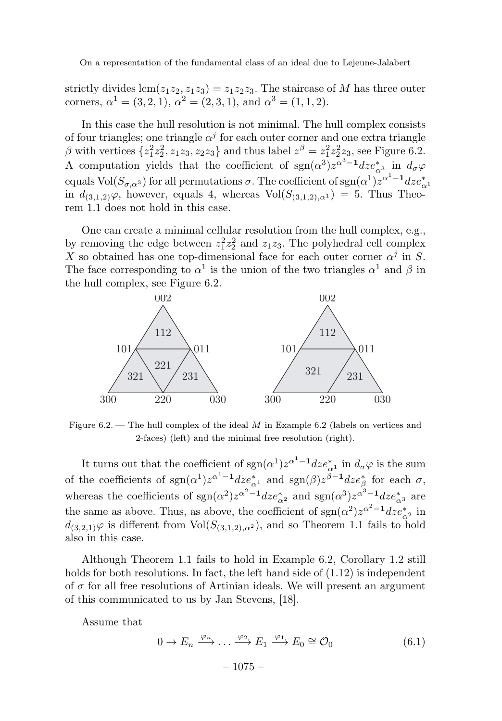strictly divides  $\text{lcm}(z_1z_2, z_1z_3) = z_1z_2z_3$ . The staircase of M has three outer corners,  $\alpha^{1} = (3, 2, 1), \alpha^{2} = (2, 3, 1),$  and  $\alpha^{3} = (1, 1, 2).$ 

In this case the hull resolution is not minimal. The hull complex consists of four triangles; one triangle  $\alpha^{j}$  for each outer corner and one extra triangle  $\beta$  with vertices  $\{z_1^2z_2^2, z_1z_3, z_2z_3\}$  and thus label  $z^{\beta} = z_1^2z_2^2z_3$ , see Figure 6.2. A computation yields that the coefficient of  $sgn(\alpha^3)z^{\alpha^3-1}dz e^*_{\alpha^3}$  in  $d_{\sigma}\varphi$ equals Vol $(S_{\sigma,\alpha^3})$  for all permutations  $\sigma.$  The coefficient of  $\text{sgn}(\alpha^1)z^{\alpha^1-1}dz e^*_{\alpha^1}$ in  $d_{(3,1,2)}\varphi$ , however, equals 4, whereas  $Vol(S_{(3,1,2),\alpha^{1}}) = 5$ . Thus Theorem 1.1 does not hold in this case.

One can create a minimal cellular resolution from the hull complex, e.g., by removing the edge between  $z_1^2 z_2^2$  and  $z_1 z_3$ . The polyhedral cell complex X so obtained has one top-dimensional face for each outer corner  $\alpha^j$  in S. The face corresponding to  $\alpha^1$  is the union of the two triangles  $\alpha^1$  and  $\beta$  in the hull complex, see Figure 6.2.



Figure 6.2. — The hull complex of the ideal M in Example 6.2 (labels on vertices and 2-faces) (left) and the minimal free resolution (right).

It turns out that the coefficient of  $sgn(\alpha^1)z^{\alpha^1-1}dz e^*_{\alpha^1}$  in  $d_{\sigma}\varphi$  is the sum of the coefficients of  $sgn(\alpha^1)z^{\alpha^1-1}dz e^*_{\alpha^1}$  and  $sgn(\beta)z^{\beta-1}dz e^*_{\beta}$  for each  $\sigma$ , whereas the coefficients of  $sgn(\alpha^2)z^{\alpha^2-1}dz e^*_{\alpha^2}$  and  $sgn(\alpha^3)z^{\alpha^3-1}dz e^*_{\alpha^3}$  are the same as above. Thus, as above, the coefficient of  $sgn(\alpha^2)z^{\alpha^2-1}dz e^*_{\alpha^2}$  in  $d_{(3,2,1)}\varphi$  is different from  $Vol(S_{(3,1,2),\alpha^2})$ , and so Theorem 1.1 fails to hold also in this case.

Although Theorem 1.1 fails to hold in Example 6.2, Corollary 1.2 still holds for both resolutions. In fact, the left hand side of  $(1.12)$  is independent of  $\sigma$  for all free resolutions of Artinian ideals. We will present an argument of this communicated to us by Jan Stevens, [18].

Assume that

$$
0 \to E_n \xrightarrow{\varphi_n} \dots \xrightarrow{\varphi_2} E_1 \xrightarrow{\varphi_1} E_0 \cong \mathcal{O}_0
$$
  
- 1075 - (6.1)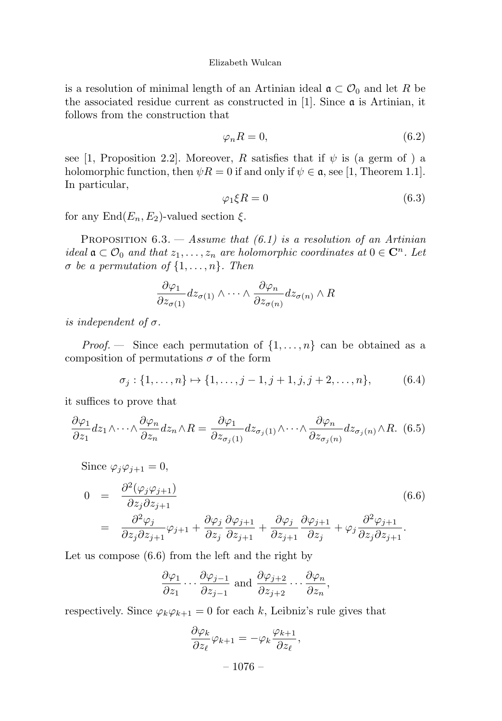is a resolution of minimal length of an Artinian ideal  $\mathfrak{a} \subset \mathcal{O}_0$  and let R be the associated residue current as constructed in  $[1]$ . Since  $\alpha$  is Artinian, it follows from the construction that

$$
\varphi_n R = 0,\tag{6.2}
$$

see [1, Proposition 2.2]. Moreover, R satisfies that if  $\psi$  is (a germ of ) a holomorphic function, then  $\psi R = 0$  if and only if  $\psi \in \mathfrak{a}$ , see [1, Theorem 1.1]. In particular,

$$
\varphi_1 \xi R = 0 \tag{6.3}
$$

for any  $\text{End}(E_n, E_2)$ -valued section  $\xi$ .

PROPOSITION  $6.3.$  - Assume that  $(6.1)$  is a resolution of an Artinian ideal  $\mathfrak{a} \subset \mathcal{O}_0$  and that  $z_1, \ldots, z_n$  are holomorphic coordinates at  $0 \in \mathbb{C}^n$ . Let  $\sigma$  be a permutation of  $\{1,\ldots,n\}$ . Then

$$
\frac{\partial \varphi_1}{\partial z_{\sigma(1)}} dz_{\sigma(1)} \wedge \cdots \wedge \frac{\partial \varphi_n}{\partial z_{\sigma(n)}} dz_{\sigma(n)} \wedge R
$$

is independent of  $\sigma$ .

*Proof.* – Since each permutation of  $\{1,\ldots,n\}$  can be obtained as a composition of permutations  $\sigma$  of the form

$$
\sigma_j: \{1, \ldots, n\} \mapsto \{1, \ldots, j-1, j+1, j, j+2, \ldots, n\},\tag{6.4}
$$

it suffices to prove that

$$
\frac{\partial \varphi_1}{\partial z_1} dz_1 \wedge \cdots \wedge \frac{\partial \varphi_n}{\partial z_n} dz_n \wedge R = \frac{\partial \varphi_1}{\partial z_{\sigma_j(1)}} dz_{\sigma_j(1)} \wedge \cdots \wedge \frac{\partial \varphi_n}{\partial z_{\sigma_j(n)}} dz_{\sigma_j(n)} \wedge R. \tag{6.5}
$$

Since  $\varphi_i \varphi_{i+1} = 0$ ,

$$
0 = \frac{\partial^2(\varphi_j \varphi_{j+1})}{\partial z_j \partial z_{j+1}} \qquad (6.6)
$$
  
= 
$$
\frac{\partial^2 \varphi_j}{\partial z_j \partial z_{j+1}} \varphi_{j+1} + \frac{\partial \varphi_j}{\partial z_j} \frac{\partial \varphi_{j+1}}{\partial z_{j+1}} + \frac{\partial \varphi_j}{\partial z_{j+1}} \frac{\partial \varphi_{j+1}}{\partial z_j} + \varphi_j \frac{\partial^2 \varphi_{j+1}}{\partial z_j \partial z_{j+1}}.
$$

Let us compose (6.6) from the left and the right by

$$
\frac{\partial \varphi_1}{\partial z_1} \cdots \frac{\partial \varphi_{j-1}}{\partial z_{j-1}}
$$
 and  $\frac{\partial \varphi_{j+2}}{\partial z_{j+2}} \cdots \frac{\partial \varphi_n}{\partial z_n}$ ,

respectively. Since  $\varphi_k \varphi_{k+1} = 0$  for each k, Leibniz's rule gives that

$$
\frac{\partial \varphi_k}{\partial z_\ell} \varphi_{k+1} = -\varphi_k \frac{\varphi_{k+1}}{\partial z_\ell},
$$

 $-1076-$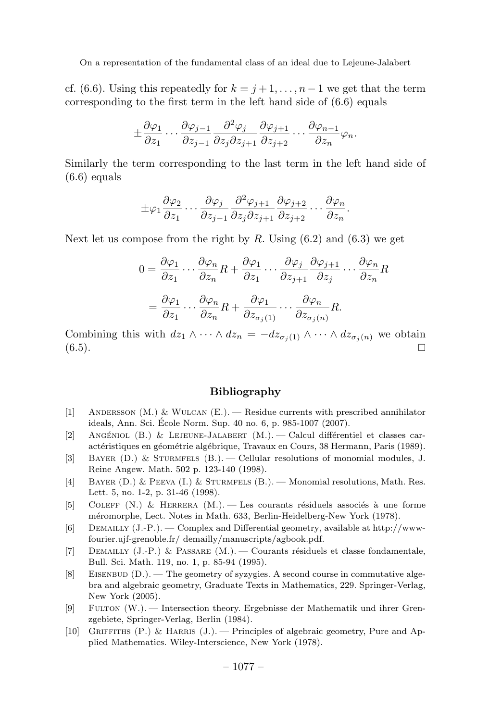cf. (6.6). Using this repeatedly for  $k = j + 1, \ldots, n - 1$  we get that the term corresponding to the first term in the left hand side of (6.6) equals

$$
\pm \frac{\partial \varphi_1}{\partial z_1} \cdots \frac{\partial \varphi_{j-1}}{\partial z_{j-1}} \frac{\partial^2 \varphi_j}{\partial z_j \partial z_{j+1}} \frac{\partial \varphi_{j+1}}{\partial z_{j+2}} \cdots \frac{\partial \varphi_{n-1}}{\partial z_n} \varphi_n.
$$

Similarly the term corresponding to the last term in the left hand side of  $(6.6)$  equals

$$
\pm \varphi_1 \frac{\partial \varphi_2}{\partial z_1} \cdots \frac{\partial \varphi_j}{\partial z_{j-1}} \frac{\partial^2 \varphi_{j+1}}{\partial z_j \partial z_{j+1}} \frac{\partial \varphi_{j+2}}{\partial z_{j+2}} \cdots \frac{\partial \varphi_n}{\partial z_n}.
$$

Next let us compose from the right by  $R$ . Using  $(6.2)$  and  $(6.3)$  we get

$$
0 = \frac{\partial \varphi_1}{\partial z_1} \cdots \frac{\partial \varphi_n}{\partial z_n} R + \frac{\partial \varphi_1}{\partial z_1} \cdots \frac{\partial \varphi_j}{\partial z_{j+1}} \frac{\partial \varphi_{j+1}}{\partial z_j} \cdots \frac{\partial \varphi_n}{\partial z_n} R
$$
  
= 
$$
\frac{\partial \varphi_1}{\partial z_1} \cdots \frac{\partial \varphi_n}{\partial z_n} R + \frac{\partial \varphi_1}{\partial z_{\sigma_j(1)}} \cdots \frac{\partial \varphi_n}{\partial z_{\sigma_j(n)}} R.
$$

Combining this with  $dz_1 \wedge \cdots \wedge dz_n = -dz_{\sigma_j(1)} \wedge \cdots \wedge dz_{\sigma_j(n)}$  we obtain (6.5).  $(6.5)$ .

# Bibliography

- [1] ANDERSSON  $(M.)$  & WULCAN  $(E.)$  Residue currents with prescribed annihilator ideals, Ann. Sci. Ecole Norm. Sup. 40 no. 6, p. 985-1007 (2007). ´
- [2] ANGÉNIOL (B.) & LEJEUNE-JALABERT  $(M.)$  Calcul différentiel et classes caractéristiques en géométrie algébrique, Travaux en Cours, 38 Hermann, Paris (1989).
- [3] Bayer (D.) & Sturmfels(B.). Cellular resolutions of monomial modules, J. Reine Angew. Math. 502 p. 123-140 (1998).
- [4] Bayer (D.) & Peeva (I.) & Sturmfels(B.). Monomial resolutions, Math. Res. Lett. 5, no. 1-2, p. 31-46 (1998).
- [5] COLEFF (N.) & HERRERA  $(M.)$ . Les courants résiduels associés à une forme méromorphe, Lect. Notes in Math. 633, Berlin-Heidelberg-New York (1978).
- [6] DEMAILLY  $(J.-P.)$ . Complex and Differential geometry, available at http://wwwfourier.ujf-grenoble.fr/ demailly/manuscripts/agbook.pdf.
- [7] DEMAILLY  $(J.-P.)$  & PASSARE  $(M.)$  Courants résiduels et classe fondamentale, Bull. Sci. Math. 119, no. 1, p. 85-94 (1995).
- $[8]$  EISENBUD  $(D.)$ . The geometry of syzygies. A second course in commutative algebra and algebraic geometry, Graduate Texts in Mathematics, 229. Springer-Verlag, New York (2005).
- [9] Fulton (W.). Intersection theory. Ergebnisse der Mathematik und ihrer Grenzgebiete, Springer-Verlag, Berlin (1984).
- [10] GRIFFITHS  $(P.)$  & HARRIS  $(J.)$ . Principles of algebraic geometry, Pure and Applied Mathematics. Wiley-Interscience, New York (1978).